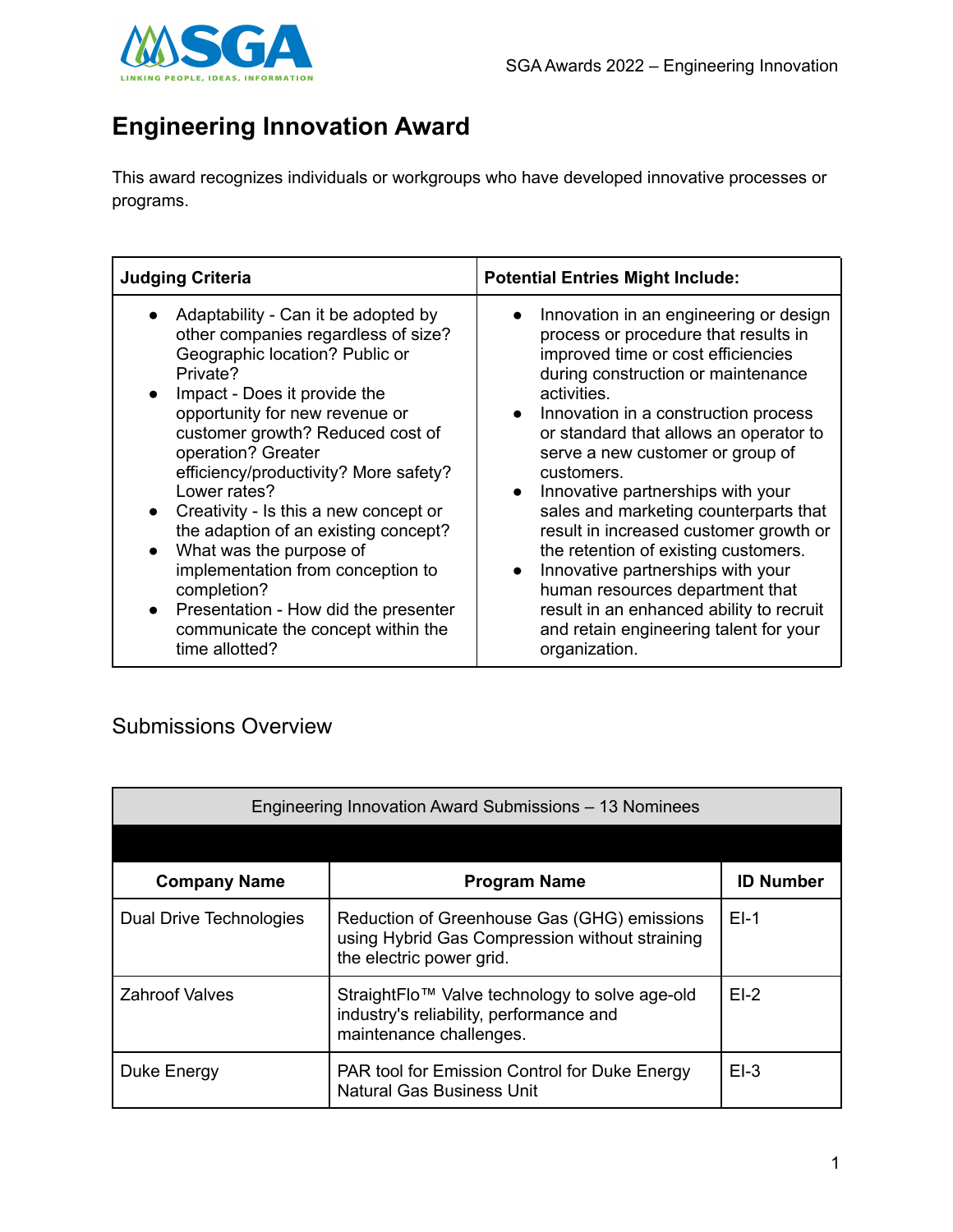

## **Engineering Innovation Award**

This award recognizes individuals or workgroups who have developed innovative processes or programs.

| <b>Judging Criteria</b>                                                                                                                                                                                                                                                                                                                                                                                                                                                                                                                                                                                              | <b>Potential Entries Might Include:</b>                                                                                                                                                                                                                                                                                                                                                                                                                                                                                                                                                                                                                                                                          |
|----------------------------------------------------------------------------------------------------------------------------------------------------------------------------------------------------------------------------------------------------------------------------------------------------------------------------------------------------------------------------------------------------------------------------------------------------------------------------------------------------------------------------------------------------------------------------------------------------------------------|------------------------------------------------------------------------------------------------------------------------------------------------------------------------------------------------------------------------------------------------------------------------------------------------------------------------------------------------------------------------------------------------------------------------------------------------------------------------------------------------------------------------------------------------------------------------------------------------------------------------------------------------------------------------------------------------------------------|
| Adaptability - Can it be adopted by<br>other companies regardless of size?<br>Geographic location? Public or<br>Private?<br>Impact - Does it provide the<br>opportunity for new revenue or<br>customer growth? Reduced cost of<br>operation? Greater<br>efficiency/productivity? More safety?<br>Lower rates?<br>Creativity - Is this a new concept or<br>$\bullet$<br>the adaption of an existing concept?<br>What was the purpose of<br>$\bullet$<br>implementation from conception to<br>completion?<br>Presentation - How did the presenter<br>$\bullet$<br>communicate the concept within the<br>time allotted? | Innovation in an engineering or design<br>$\bullet$<br>process or procedure that results in<br>improved time or cost efficiencies<br>during construction or maintenance<br>activities.<br>Innovation in a construction process<br>$\bullet$<br>or standard that allows an operator to<br>serve a new customer or group of<br>customers.<br>Innovative partnerships with your<br>$\bullet$<br>sales and marketing counterparts that<br>result in increased customer growth or<br>the retention of existing customers.<br>Innovative partnerships with your<br>$\bullet$<br>human resources department that<br>result in an enhanced ability to recruit<br>and retain engineering talent for your<br>organization. |

## Submissions Overview

| Engineering Innovation Award Submissions – 13 Nominees |                                                                                                                           |                  |
|--------------------------------------------------------|---------------------------------------------------------------------------------------------------------------------------|------------------|
|                                                        |                                                                                                                           |                  |
| <b>Company Name</b>                                    | <b>Program Name</b>                                                                                                       | <b>ID Number</b> |
| Dual Drive Technologies                                | Reduction of Greenhouse Gas (GHG) emissions<br>using Hybrid Gas Compression without straining<br>the electric power grid. | $EI-1$           |
| <b>Zahroof Valves</b>                                  | StraightFlo™ Valve technology to solve age-old<br>industry's reliability, performance and<br>maintenance challenges.      | $EI-2$           |
| Duke Energy                                            | PAR tool for Emission Control for Duke Energy<br><b>Natural Gas Business Unit</b>                                         | $EI-3$           |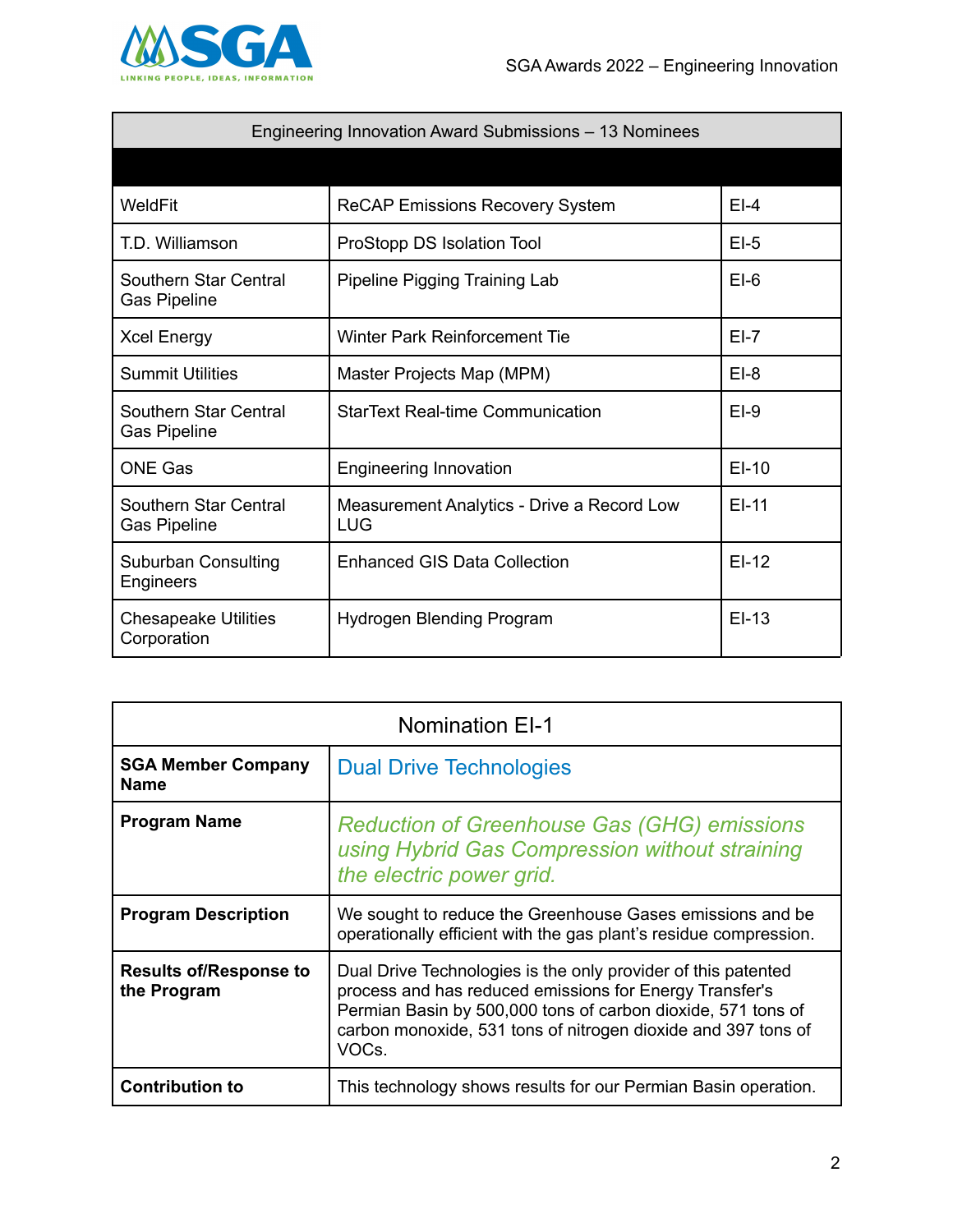

| Engineering Innovation Award Submissions – 13 Nominees |                                                   |         |
|--------------------------------------------------------|---------------------------------------------------|---------|
|                                                        |                                                   |         |
| WeldFit                                                | <b>ReCAP Emissions Recovery System</b>            | $EI-4$  |
| T.D. Williamson                                        | ProStopp DS Isolation Tool                        | $EI-5$  |
| Southern Star Central<br><b>Gas Pipeline</b>           | Pipeline Pigging Training Lab                     | $EI-6$  |
| <b>Xcel Energy</b>                                     | Winter Park Reinforcement Tie                     | $EI-7$  |
| <b>Summit Utilities</b>                                | Master Projects Map (MPM)                         | $EI-8$  |
| Southern Star Central<br><b>Gas Pipeline</b>           | <b>StarText Real-time Communication</b>           | $EI-9$  |
| <b>ONE Gas</b>                                         | <b>Engineering Innovation</b>                     | $EI-10$ |
| Southern Star Central<br><b>Gas Pipeline</b>           | Measurement Analytics - Drive a Record Low<br>LUG | $EI-11$ |
| Suburban Consulting<br>Engineers                       | <b>Enhanced GIS Data Collection</b>               | $EI-12$ |
| <b>Chesapeake Utilities</b><br>Corporation             | Hydrogen Blending Program                         | $EI-13$ |

| <b>Nomination EI-1</b>                       |                                                                                                                                                                                                                                                                    |
|----------------------------------------------|--------------------------------------------------------------------------------------------------------------------------------------------------------------------------------------------------------------------------------------------------------------------|
| <b>SGA Member Company</b><br><b>Name</b>     | <b>Dual Drive Technologies</b>                                                                                                                                                                                                                                     |
| <b>Program Name</b>                          | <b>Reduction of Greenhouse Gas (GHG) emissions</b><br>using Hybrid Gas Compression without straining<br>the electric power grid.                                                                                                                                   |
| <b>Program Description</b>                   | We sought to reduce the Greenhouse Gases emissions and be<br>operationally efficient with the gas plant's residue compression.                                                                                                                                     |
| <b>Results of/Response to</b><br>the Program | Dual Drive Technologies is the only provider of this patented<br>process and has reduced emissions for Energy Transfer's<br>Permian Basin by 500,000 tons of carbon dioxide, 571 tons of<br>carbon monoxide, 531 tons of nitrogen dioxide and 397 tons of<br>VOCs. |
| <b>Contribution to</b>                       | This technology shows results for our Permian Basin operation.                                                                                                                                                                                                     |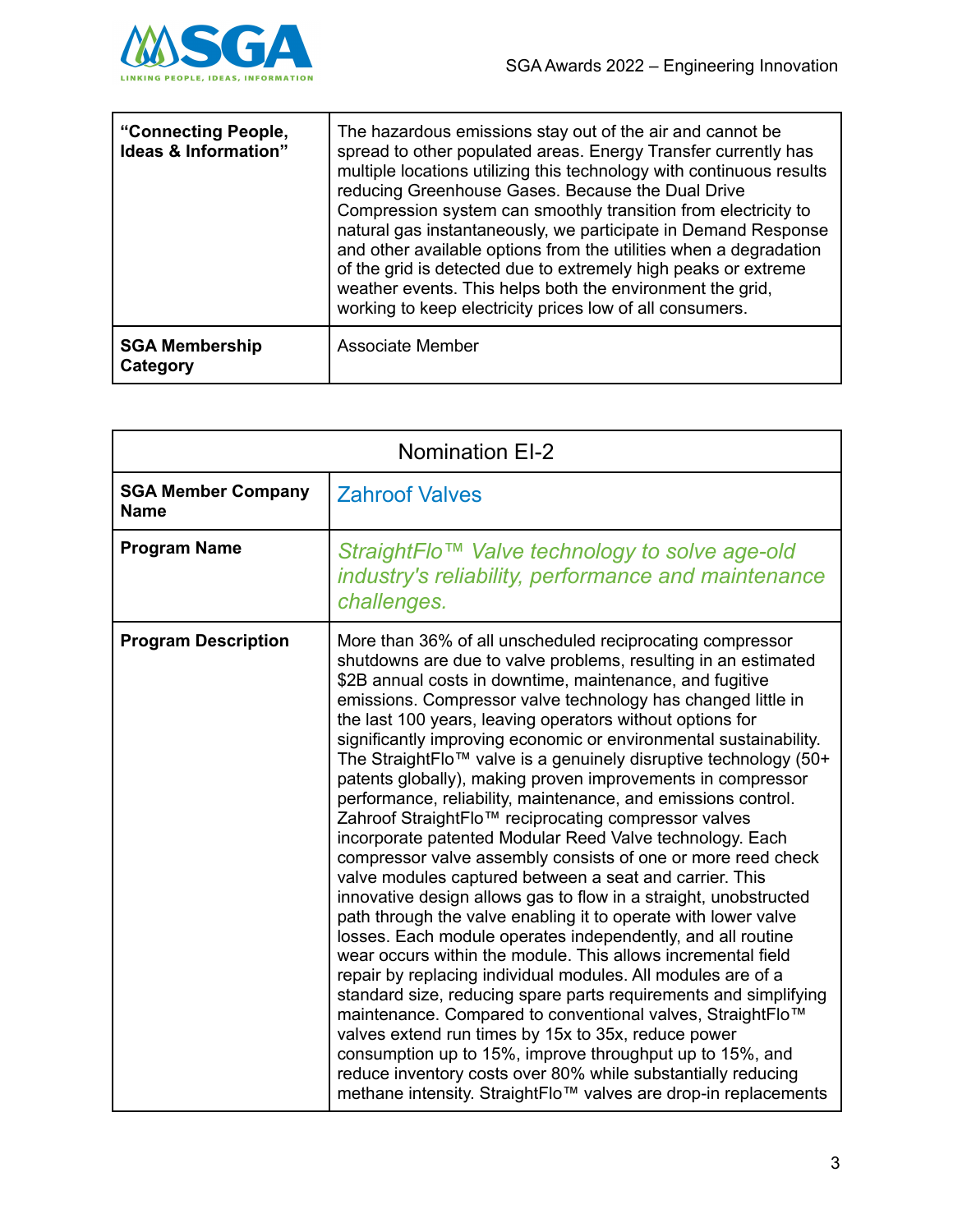

| "Connecting People,<br>Ideas & Information" | The hazardous emissions stay out of the air and cannot be<br>spread to other populated areas. Energy Transfer currently has<br>multiple locations utilizing this technology with continuous results<br>reducing Greenhouse Gases. Because the Dual Drive<br>Compression system can smoothly transition from electricity to<br>natural gas instantaneously, we participate in Demand Response<br>and other available options from the utilities when a degradation<br>of the grid is detected due to extremely high peaks or extreme<br>weather events. This helps both the environment the grid,<br>working to keep electricity prices low of all consumers. |
|---------------------------------------------|--------------------------------------------------------------------------------------------------------------------------------------------------------------------------------------------------------------------------------------------------------------------------------------------------------------------------------------------------------------------------------------------------------------------------------------------------------------------------------------------------------------------------------------------------------------------------------------------------------------------------------------------------------------|
| <b>SGA Membership</b><br>Category           | Associate Member                                                                                                                                                                                                                                                                                                                                                                                                                                                                                                                                                                                                                                             |

| <b>Nomination EI-2</b>                   |                                                                                                                                                                                                                                                                                                                                                                                                                                                                                                                                                                                                                                                                                                                                                                                                                                                                                                                                                                                                                                                                                                                                                                                                                                                                                                                                                                                                                                                                                                                                                                           |
|------------------------------------------|---------------------------------------------------------------------------------------------------------------------------------------------------------------------------------------------------------------------------------------------------------------------------------------------------------------------------------------------------------------------------------------------------------------------------------------------------------------------------------------------------------------------------------------------------------------------------------------------------------------------------------------------------------------------------------------------------------------------------------------------------------------------------------------------------------------------------------------------------------------------------------------------------------------------------------------------------------------------------------------------------------------------------------------------------------------------------------------------------------------------------------------------------------------------------------------------------------------------------------------------------------------------------------------------------------------------------------------------------------------------------------------------------------------------------------------------------------------------------------------------------------------------------------------------------------------------------|
| <b>SGA Member Company</b><br><b>Name</b> | <b>Zahroof Valves</b>                                                                                                                                                                                                                                                                                                                                                                                                                                                                                                                                                                                                                                                                                                                                                                                                                                                                                                                                                                                                                                                                                                                                                                                                                                                                                                                                                                                                                                                                                                                                                     |
| <b>Program Name</b>                      | StraightFlo™ Valve technology to solve age-old<br>industry's reliability, performance and maintenance<br>challenges.                                                                                                                                                                                                                                                                                                                                                                                                                                                                                                                                                                                                                                                                                                                                                                                                                                                                                                                                                                                                                                                                                                                                                                                                                                                                                                                                                                                                                                                      |
| <b>Program Description</b>               | More than 36% of all unscheduled reciprocating compressor<br>shutdowns are due to valve problems, resulting in an estimated<br>\$2B annual costs in downtime, maintenance, and fugitive<br>emissions. Compressor valve technology has changed little in<br>the last 100 years, leaving operators without options for<br>significantly improving economic or environmental sustainability.<br>The StraightFlo™ valve is a genuinely disruptive technology (50+<br>patents globally), making proven improvements in compressor<br>performance, reliability, maintenance, and emissions control.<br>Zahroof StraightFlo™ reciprocating compressor valves<br>incorporate patented Modular Reed Valve technology. Each<br>compressor valve assembly consists of one or more reed check<br>valve modules captured between a seat and carrier. This<br>innovative design allows gas to flow in a straight, unobstructed<br>path through the valve enabling it to operate with lower valve<br>losses. Each module operates independently, and all routine<br>wear occurs within the module. This allows incremental field<br>repair by replacing individual modules. All modules are of a<br>standard size, reducing spare parts requirements and simplifying<br>maintenance. Compared to conventional valves, StraightFlo™<br>valves extend run times by 15x to 35x, reduce power<br>consumption up to 15%, improve throughput up to 15%, and<br>reduce inventory costs over 80% while substantially reducing<br>methane intensity. StraightFlo™ valves are drop-in replacements |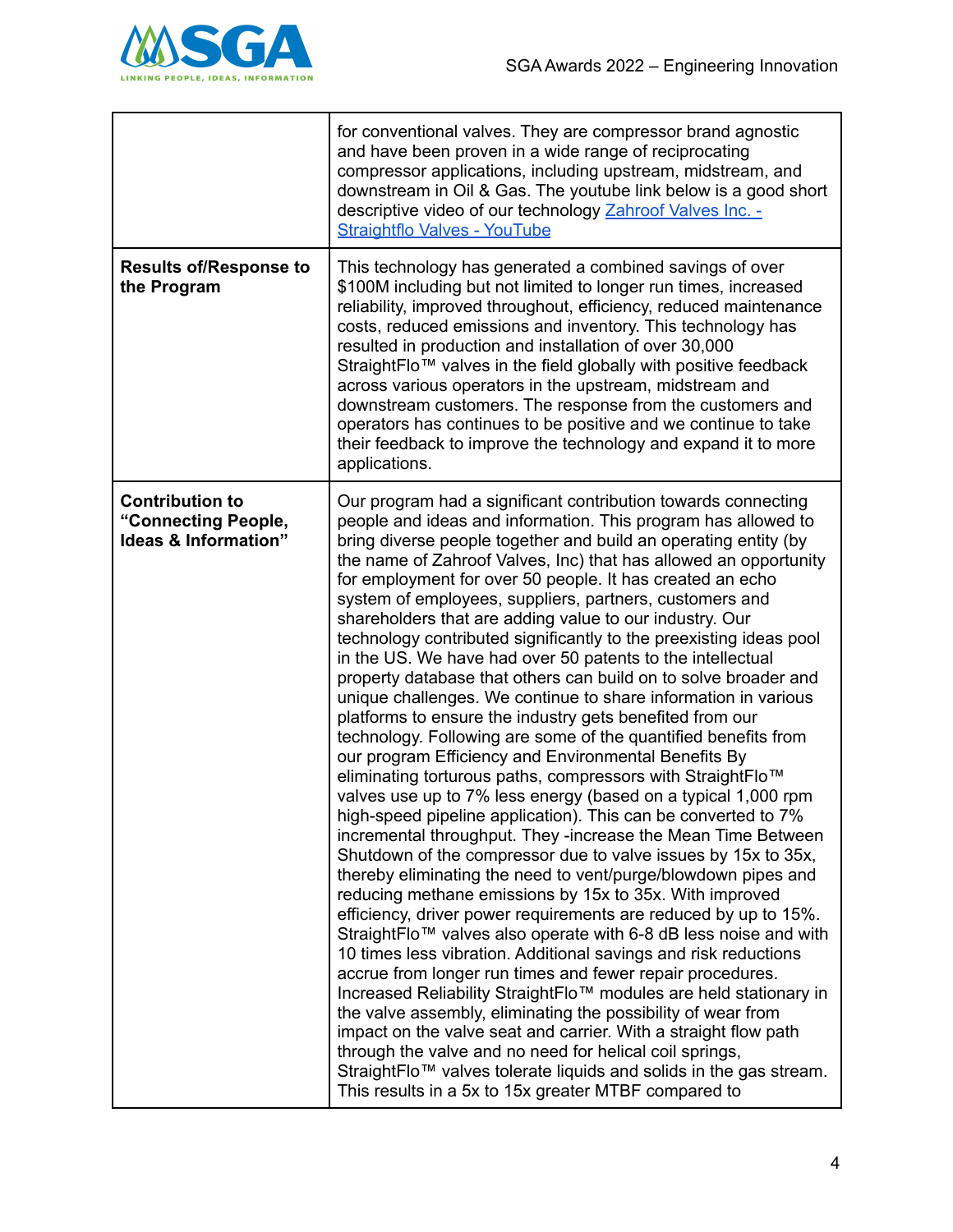

|                                                                                  | for conventional valves. They are compressor brand agnostic<br>and have been proven in a wide range of reciprocating<br>compressor applications, including upstream, midstream, and<br>downstream in Oil & Gas. The youtube link below is a good short<br>descriptive video of our technology Zahroof Valves Inc. -<br><b>Straightflo Valves - YouTube</b>                                                                                                                                                                                                                                                                                                                                                                                                                                                                                                                                                                                                                                                                                                                                                                                                                                                                                                                                                                                                                                                                                                                                                                                                                                                                                                                                                                                                                                                                                                                                                                                                                                                                                                   |
|----------------------------------------------------------------------------------|--------------------------------------------------------------------------------------------------------------------------------------------------------------------------------------------------------------------------------------------------------------------------------------------------------------------------------------------------------------------------------------------------------------------------------------------------------------------------------------------------------------------------------------------------------------------------------------------------------------------------------------------------------------------------------------------------------------------------------------------------------------------------------------------------------------------------------------------------------------------------------------------------------------------------------------------------------------------------------------------------------------------------------------------------------------------------------------------------------------------------------------------------------------------------------------------------------------------------------------------------------------------------------------------------------------------------------------------------------------------------------------------------------------------------------------------------------------------------------------------------------------------------------------------------------------------------------------------------------------------------------------------------------------------------------------------------------------------------------------------------------------------------------------------------------------------------------------------------------------------------------------------------------------------------------------------------------------------------------------------------------------------------------------------------------------|
| <b>Results of/Response to</b><br>the Program                                     | This technology has generated a combined savings of over<br>\$100M including but not limited to longer run times, increased<br>reliability, improved throughout, efficiency, reduced maintenance<br>costs, reduced emissions and inventory. This technology has<br>resulted in production and installation of over 30,000<br>StraightFlo™ valves in the field globally with positive feedback<br>across various operators in the upstream, midstream and<br>downstream customers. The response from the customers and<br>operators has continues to be positive and we continue to take<br>their feedback to improve the technology and expand it to more<br>applications.                                                                                                                                                                                                                                                                                                                                                                                                                                                                                                                                                                                                                                                                                                                                                                                                                                                                                                                                                                                                                                                                                                                                                                                                                                                                                                                                                                                   |
| <b>Contribution to</b><br>"Connecting People,<br><b>Ideas &amp; Information"</b> | Our program had a significant contribution towards connecting<br>people and ideas and information. This program has allowed to<br>bring diverse people together and build an operating entity (by<br>the name of Zahroof Valves, Inc) that has allowed an opportunity<br>for employment for over 50 people. It has created an echo<br>system of employees, suppliers, partners, customers and<br>shareholders that are adding value to our industry. Our<br>technology contributed significantly to the preexisting ideas pool<br>in the US. We have had over 50 patents to the intellectual<br>property database that others can build on to solve broader and<br>unique challenges. We continue to share information in various<br>platforms to ensure the industry gets benefited from our<br>technology. Following are some of the quantified benefits from<br>our program Efficiency and Environmental Benefits By<br>eliminating torturous paths, compressors with StraightFlo™<br>valves use up to 7% less energy (based on a typical 1,000 rpm<br>high-speed pipeline application). This can be converted to 7%<br>incremental throughput. They -increase the Mean Time Between<br>Shutdown of the compressor due to valve issues by 15x to 35x,<br>thereby eliminating the need to vent/purge/blowdown pipes and<br>reducing methane emissions by 15x to 35x. With improved<br>efficiency, driver power requirements are reduced by up to 15%.<br>StraightFlo™ valves also operate with 6-8 dB less noise and with<br>10 times less vibration. Additional savings and risk reductions<br>accrue from longer run times and fewer repair procedures.<br>Increased Reliability StraightFlo™ modules are held stationary in<br>the valve assembly, eliminating the possibility of wear from<br>impact on the valve seat and carrier. With a straight flow path<br>through the valve and no need for helical coil springs,<br>StraightFlo™ valves tolerate liquids and solids in the gas stream.<br>This results in a 5x to 15x greater MTBF compared to |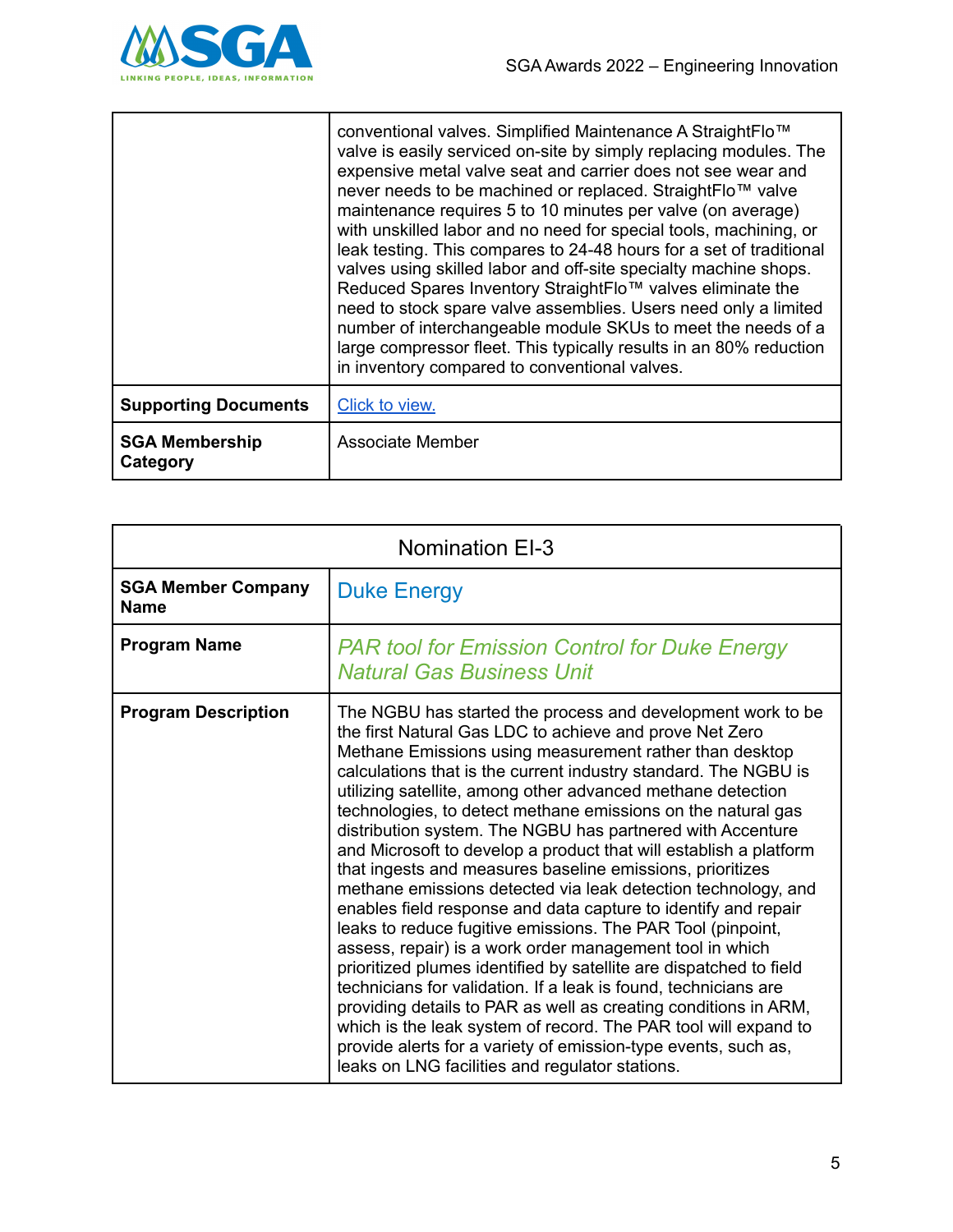

|                                   | conventional valves. Simplified Maintenance A StraightFlo™<br>valve is easily serviced on-site by simply replacing modules. The<br>expensive metal valve seat and carrier does not see wear and<br>never needs to be machined or replaced. StraightFlo™ valve<br>maintenance requires 5 to 10 minutes per valve (on average)<br>with unskilled labor and no need for special tools, machining, or<br>leak testing. This compares to 24-48 hours for a set of traditional<br>valves using skilled labor and off-site specialty machine shops.<br>Reduced Spares Inventory StraightFlo™ valves eliminate the<br>need to stock spare valve assemblies. Users need only a limited<br>number of interchangeable module SKUs to meet the needs of a<br>large compressor fleet. This typically results in an 80% reduction<br>in inventory compared to conventional valves. |
|-----------------------------------|----------------------------------------------------------------------------------------------------------------------------------------------------------------------------------------------------------------------------------------------------------------------------------------------------------------------------------------------------------------------------------------------------------------------------------------------------------------------------------------------------------------------------------------------------------------------------------------------------------------------------------------------------------------------------------------------------------------------------------------------------------------------------------------------------------------------------------------------------------------------|
| <b>Supporting Documents</b>       | Click to view.                                                                                                                                                                                                                                                                                                                                                                                                                                                                                                                                                                                                                                                                                                                                                                                                                                                       |
| <b>SGA Membership</b><br>Category | Associate Member                                                                                                                                                                                                                                                                                                                                                                                                                                                                                                                                                                                                                                                                                                                                                                                                                                                     |

| <b>Nomination EI-3</b>                   |                                                                                                                                                                                                                                                                                                                                                                                                                                                                                                                                                                                                                                                                                                                                                                                                                                                                                                                                                                                                                                                                                                                                                                                                                                                       |
|------------------------------------------|-------------------------------------------------------------------------------------------------------------------------------------------------------------------------------------------------------------------------------------------------------------------------------------------------------------------------------------------------------------------------------------------------------------------------------------------------------------------------------------------------------------------------------------------------------------------------------------------------------------------------------------------------------------------------------------------------------------------------------------------------------------------------------------------------------------------------------------------------------------------------------------------------------------------------------------------------------------------------------------------------------------------------------------------------------------------------------------------------------------------------------------------------------------------------------------------------------------------------------------------------------|
| <b>SGA Member Company</b><br><b>Name</b> | <b>Duke Energy</b>                                                                                                                                                                                                                                                                                                                                                                                                                                                                                                                                                                                                                                                                                                                                                                                                                                                                                                                                                                                                                                                                                                                                                                                                                                    |
| <b>Program Name</b>                      | <b>PAR tool for Emission Control for Duke Energy</b><br><b>Natural Gas Business Unit</b>                                                                                                                                                                                                                                                                                                                                                                                                                                                                                                                                                                                                                                                                                                                                                                                                                                                                                                                                                                                                                                                                                                                                                              |
| <b>Program Description</b>               | The NGBU has started the process and development work to be<br>the first Natural Gas LDC to achieve and prove Net Zero<br>Methane Emissions using measurement rather than desktop<br>calculations that is the current industry standard. The NGBU is<br>utilizing satellite, among other advanced methane detection<br>technologies, to detect methane emissions on the natural gas<br>distribution system. The NGBU has partnered with Accenture<br>and Microsoft to develop a product that will establish a platform<br>that ingests and measures baseline emissions, prioritizes<br>methane emissions detected via leak detection technology, and<br>enables field response and data capture to identify and repair<br>leaks to reduce fugitive emissions. The PAR Tool (pinpoint,<br>assess, repair) is a work order management tool in which<br>prioritized plumes identified by satellite are dispatched to field<br>technicians for validation. If a leak is found, technicians are<br>providing details to PAR as well as creating conditions in ARM,<br>which is the leak system of record. The PAR tool will expand to<br>provide alerts for a variety of emission-type events, such as,<br>leaks on LNG facilities and regulator stations. |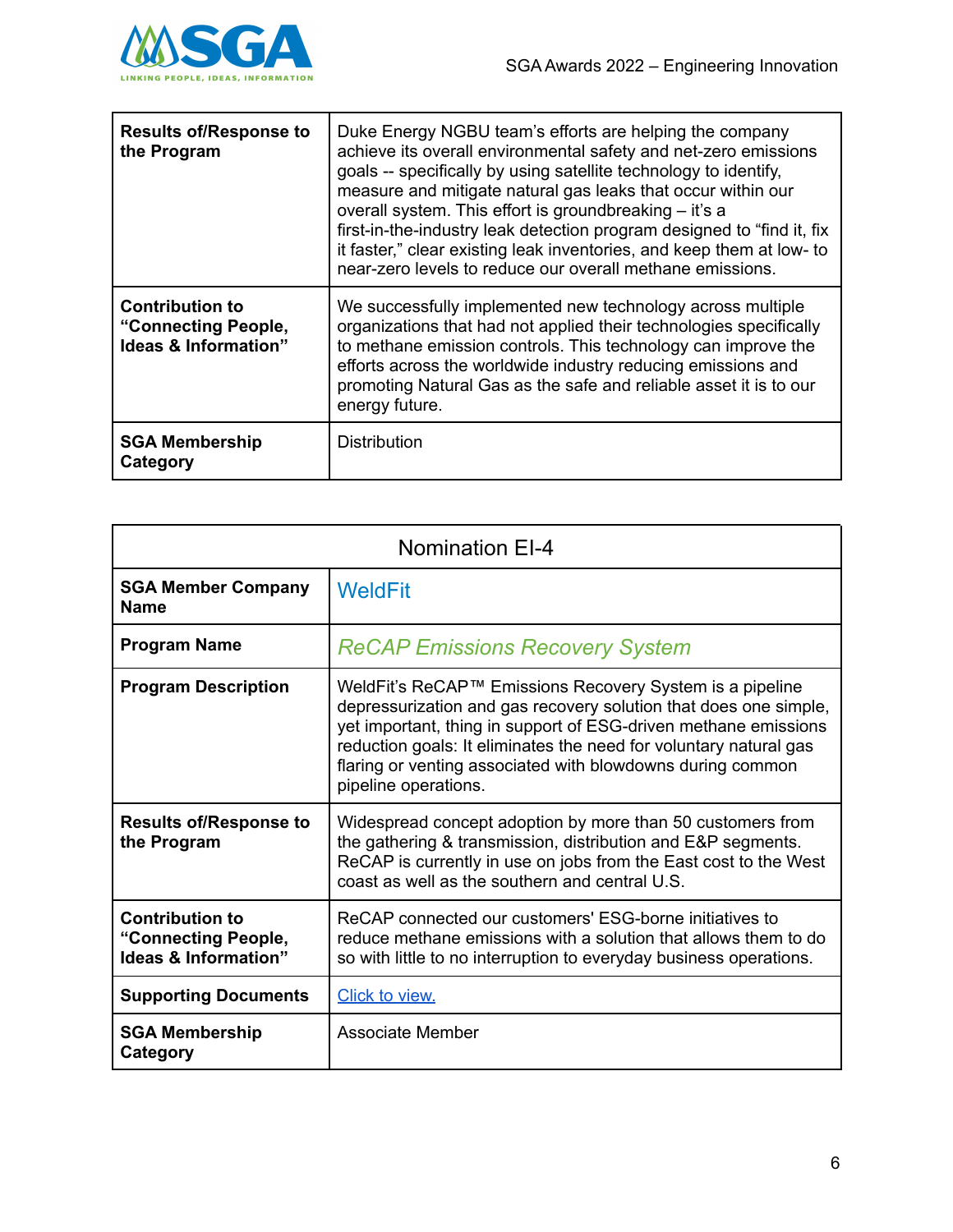

| <b>Results of/Response to</b><br>the Program                          | Duke Energy NGBU team's efforts are helping the company<br>achieve its overall environmental safety and net-zero emissions<br>goals -- specifically by using satellite technology to identify,<br>measure and mitigate natural gas leaks that occur within our<br>overall system. This effort is groundbreaking - it's a<br>first-in-the-industry leak detection program designed to "find it, fix<br>it faster," clear existing leak inventories, and keep them at low- to<br>near-zero levels to reduce our overall methane emissions. |
|-----------------------------------------------------------------------|------------------------------------------------------------------------------------------------------------------------------------------------------------------------------------------------------------------------------------------------------------------------------------------------------------------------------------------------------------------------------------------------------------------------------------------------------------------------------------------------------------------------------------------|
| <b>Contribution to</b><br>"Connecting People,<br>Ideas & Information" | We successfully implemented new technology across multiple<br>organizations that had not applied their technologies specifically<br>to methane emission controls. This technology can improve the<br>efforts across the worldwide industry reducing emissions and<br>promoting Natural Gas as the safe and reliable asset it is to our<br>energy future.                                                                                                                                                                                 |
| <b>SGA Membership</b><br>Category                                     | <b>Distribution</b>                                                                                                                                                                                                                                                                                                                                                                                                                                                                                                                      |

| <b>Nomination EI-4</b>                                                           |                                                                                                                                                                                                                                                                                                                                                            |
|----------------------------------------------------------------------------------|------------------------------------------------------------------------------------------------------------------------------------------------------------------------------------------------------------------------------------------------------------------------------------------------------------------------------------------------------------|
| <b>SGA Member Company</b><br><b>Name</b>                                         | <b>WeldFit</b>                                                                                                                                                                                                                                                                                                                                             |
| <b>Program Name</b>                                                              | <b>ReCAP Emissions Recovery System</b>                                                                                                                                                                                                                                                                                                                     |
| <b>Program Description</b>                                                       | WeldFit's ReCAP™ Emissions Recovery System is a pipeline<br>depressurization and gas recovery solution that does one simple,<br>yet important, thing in support of ESG-driven methane emissions<br>reduction goals: It eliminates the need for voluntary natural gas<br>flaring or venting associated with blowdowns during common<br>pipeline operations. |
| <b>Results of/Response to</b><br>the Program                                     | Widespread concept adoption by more than 50 customers from<br>the gathering & transmission, distribution and E&P segments.<br>ReCAP is currently in use on jobs from the East cost to the West<br>coast as well as the southern and central U.S.                                                                                                           |
| <b>Contribution to</b><br>"Connecting People,<br><b>Ideas &amp; Information"</b> | ReCAP connected our customers' ESG-borne initiatives to<br>reduce methane emissions with a solution that allows them to do<br>so with little to no interruption to everyday business operations.                                                                                                                                                           |
| <b>Supporting Documents</b>                                                      | Click to view.                                                                                                                                                                                                                                                                                                                                             |
| <b>SGA Membership</b><br>Category                                                | Associate Member                                                                                                                                                                                                                                                                                                                                           |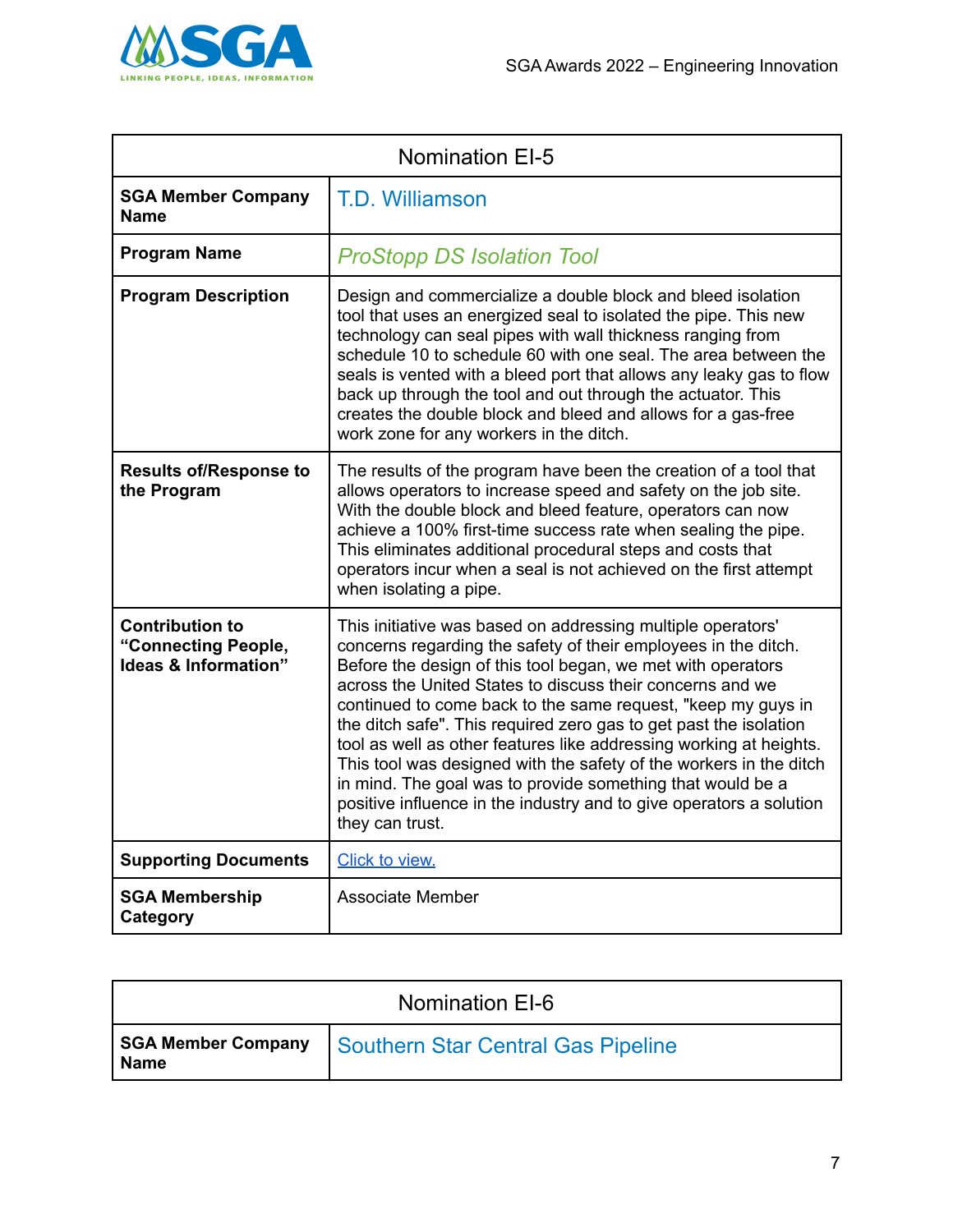

| <b>Nomination EI-5</b>                                                |                                                                                                                                                                                                                                                                                                                                                                                                                                                                                                                                                                                                                                                                                                    |
|-----------------------------------------------------------------------|----------------------------------------------------------------------------------------------------------------------------------------------------------------------------------------------------------------------------------------------------------------------------------------------------------------------------------------------------------------------------------------------------------------------------------------------------------------------------------------------------------------------------------------------------------------------------------------------------------------------------------------------------------------------------------------------------|
| <b>SGA Member Company</b><br><b>Name</b>                              | T.D. Williamson                                                                                                                                                                                                                                                                                                                                                                                                                                                                                                                                                                                                                                                                                    |
| <b>Program Name</b>                                                   | <b>ProStopp DS Isolation Tool</b>                                                                                                                                                                                                                                                                                                                                                                                                                                                                                                                                                                                                                                                                  |
| <b>Program Description</b>                                            | Design and commercialize a double block and bleed isolation<br>tool that uses an energized seal to isolated the pipe. This new<br>technology can seal pipes with wall thickness ranging from<br>schedule 10 to schedule 60 with one seal. The area between the<br>seals is vented with a bleed port that allows any leaky gas to flow<br>back up through the tool and out through the actuator. This<br>creates the double block and bleed and allows for a gas-free<br>work zone for any workers in the ditch.                                                                                                                                                                                    |
| <b>Results of/Response to</b><br>the Program                          | The results of the program have been the creation of a tool that<br>allows operators to increase speed and safety on the job site.<br>With the double block and bleed feature, operators can now<br>achieve a 100% first-time success rate when sealing the pipe.<br>This eliminates additional procedural steps and costs that<br>operators incur when a seal is not achieved on the first attempt<br>when isolating a pipe.                                                                                                                                                                                                                                                                      |
| <b>Contribution to</b><br>"Connecting People,<br>Ideas & Information" | This initiative was based on addressing multiple operators'<br>concerns regarding the safety of their employees in the ditch.<br>Before the design of this tool began, we met with operators<br>across the United States to discuss their concerns and we<br>continued to come back to the same request, "keep my guys in<br>the ditch safe". This required zero gas to get past the isolation<br>tool as well as other features like addressing working at heights.<br>This tool was designed with the safety of the workers in the ditch<br>in mind. The goal was to provide something that would be a<br>positive influence in the industry and to give operators a solution<br>they can trust. |
| <b>Supporting Documents</b>                                           | Click to view.                                                                                                                                                                                                                                                                                                                                                                                                                                                                                                                                                                                                                                                                                     |
| <b>SGA Membership</b><br>Category                                     | <b>Associate Member</b>                                                                                                                                                                                                                                                                                                                                                                                                                                                                                                                                                                                                                                                                            |

| Nomination EI-6 |                                                         |
|-----------------|---------------------------------------------------------|
| Name            | SGA Member Company   Southern Star Central Gas Pipeline |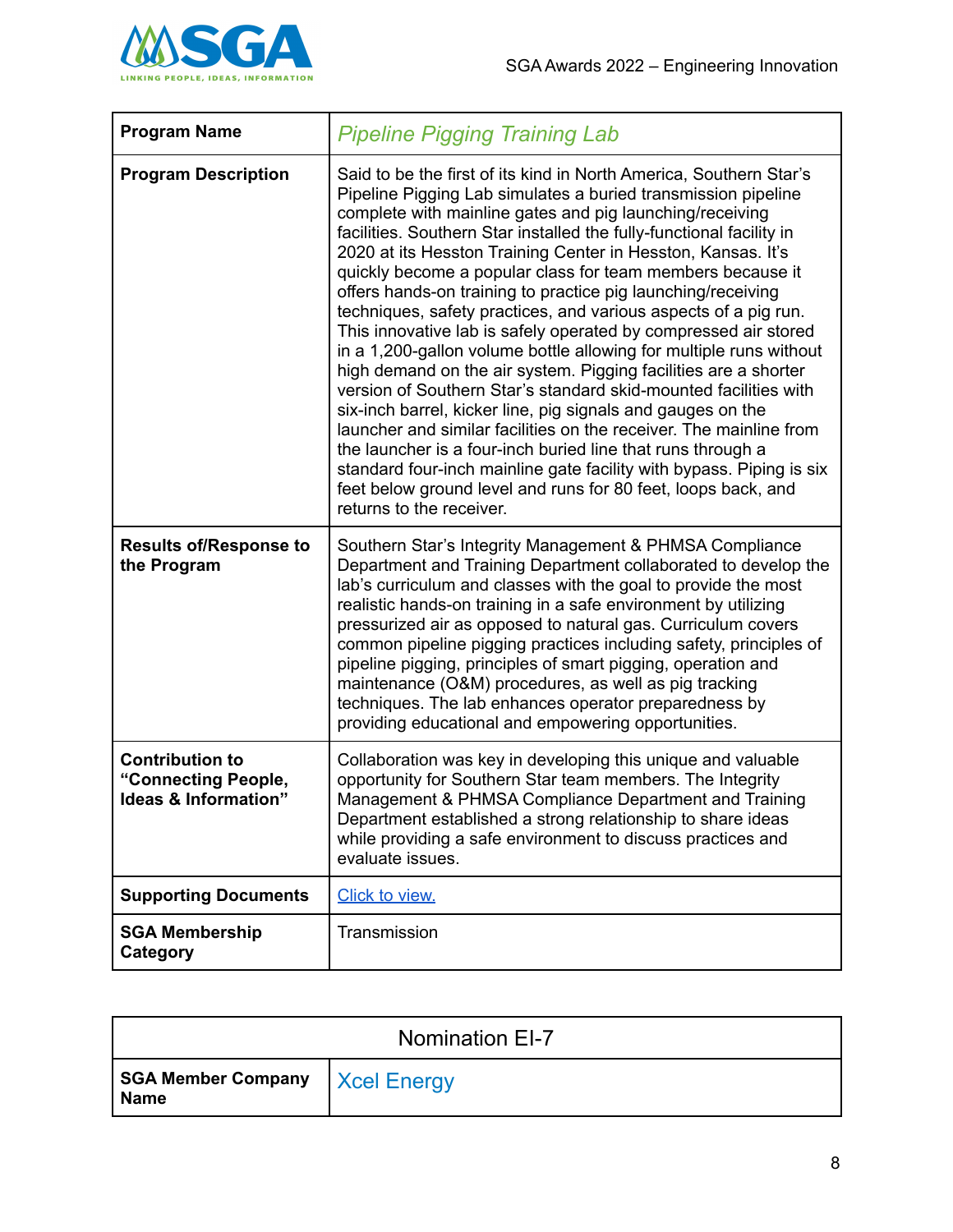

| <b>Program Name</b>                                                   | <b>Pipeline Pigging Training Lab</b>                                                                                                                                                                                                                                                                                                                                                                                                                                                                                                                                                                                                                                                                                                                                                                                                                                                                                                                                                                                                                                                                                                                                                              |
|-----------------------------------------------------------------------|---------------------------------------------------------------------------------------------------------------------------------------------------------------------------------------------------------------------------------------------------------------------------------------------------------------------------------------------------------------------------------------------------------------------------------------------------------------------------------------------------------------------------------------------------------------------------------------------------------------------------------------------------------------------------------------------------------------------------------------------------------------------------------------------------------------------------------------------------------------------------------------------------------------------------------------------------------------------------------------------------------------------------------------------------------------------------------------------------------------------------------------------------------------------------------------------------|
| <b>Program Description</b>                                            | Said to be the first of its kind in North America, Southern Star's<br>Pipeline Pigging Lab simulates a buried transmission pipeline<br>complete with mainline gates and pig launching/receiving<br>facilities. Southern Star installed the fully-functional facility in<br>2020 at its Hesston Training Center in Hesston, Kansas. It's<br>quickly become a popular class for team members because it<br>offers hands-on training to practice pig launching/receiving<br>techniques, safety practices, and various aspects of a pig run.<br>This innovative lab is safely operated by compressed air stored<br>in a 1,200-gallon volume bottle allowing for multiple runs without<br>high demand on the air system. Pigging facilities are a shorter<br>version of Southern Star's standard skid-mounted facilities with<br>six-inch barrel, kicker line, pig signals and gauges on the<br>launcher and similar facilities on the receiver. The mainline from<br>the launcher is a four-inch buried line that runs through a<br>standard four-inch mainline gate facility with bypass. Piping is six<br>feet below ground level and runs for 80 feet, loops back, and<br>returns to the receiver. |
| <b>Results of/Response to</b><br>the Program                          | Southern Star's Integrity Management & PHMSA Compliance<br>Department and Training Department collaborated to develop the<br>lab's curriculum and classes with the goal to provide the most<br>realistic hands-on training in a safe environment by utilizing<br>pressurized air as opposed to natural gas. Curriculum covers<br>common pipeline pigging practices including safety, principles of<br>pipeline pigging, principles of smart pigging, operation and<br>maintenance (O&M) procedures, as well as pig tracking<br>techniques. The lab enhances operator preparedness by<br>providing educational and empowering opportunities.                                                                                                                                                                                                                                                                                                                                                                                                                                                                                                                                                       |
| <b>Contribution to</b><br>"Connecting People,<br>Ideas & Information" | Collaboration was key in developing this unique and valuable<br>opportunity for Southern Star team members. The Integrity<br>Management & PHMSA Compliance Department and Training<br>Department established a strong relationship to share ideas<br>while providing a safe environment to discuss practices and<br>evaluate issues.                                                                                                                                                                                                                                                                                                                                                                                                                                                                                                                                                                                                                                                                                                                                                                                                                                                              |
| <b>Supporting Documents</b>                                           | Click to view.                                                                                                                                                                                                                                                                                                                                                                                                                                                                                                                                                                                                                                                                                                                                                                                                                                                                                                                                                                                                                                                                                                                                                                                    |
| <b>SGA Membership</b><br>Category                                     | Transmission                                                                                                                                                                                                                                                                                                                                                                                                                                                                                                                                                                                                                                                                                                                                                                                                                                                                                                                                                                                                                                                                                                                                                                                      |

| <b>Nomination EI-7</b>                          |  |
|-------------------------------------------------|--|
| SGA Member Company   Xcel Energy<br><b>Name</b> |  |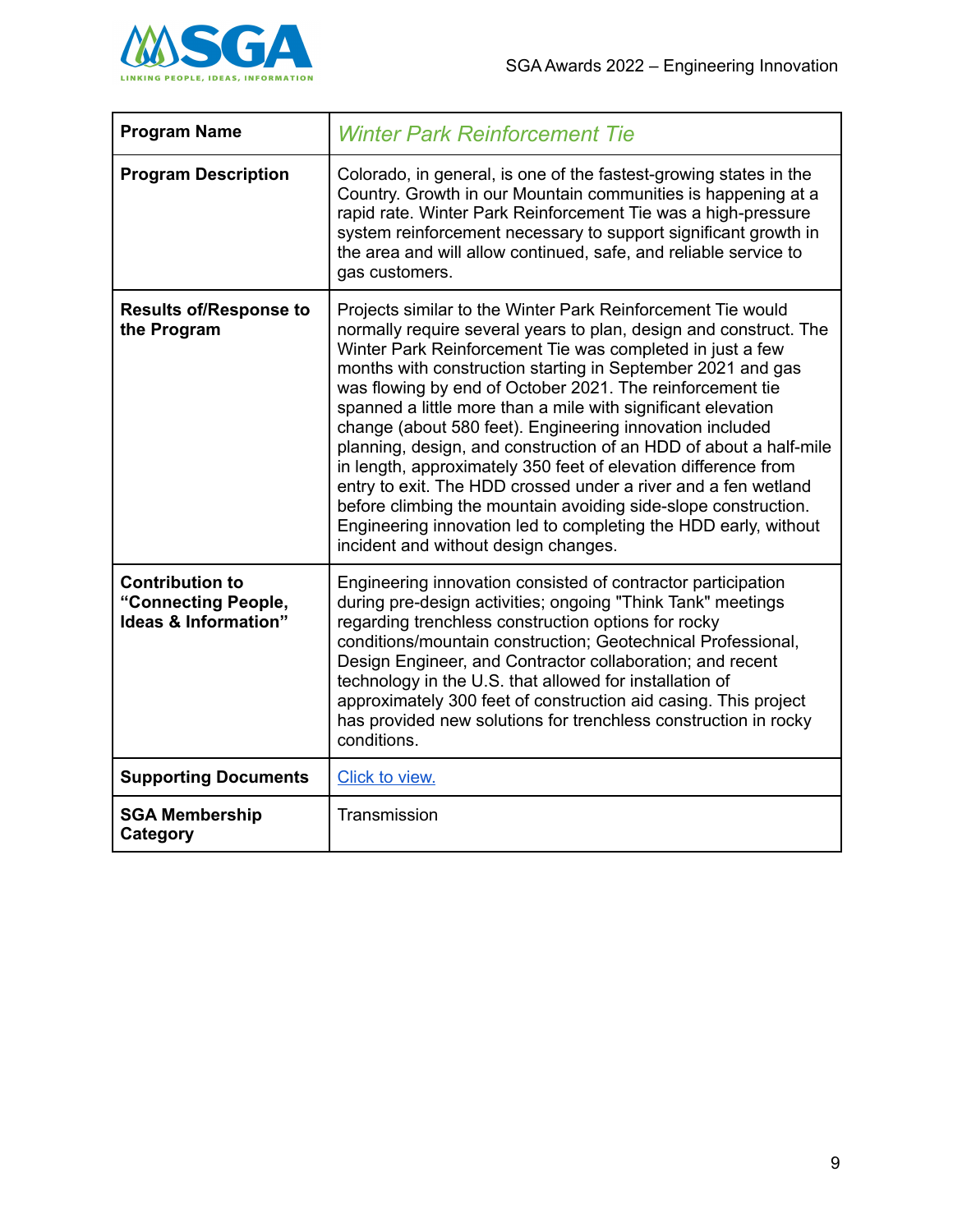

| <b>Program Name</b>                                                   | <b>Winter Park Reinforcement Tie</b>                                                                                                                                                                                                                                                                                                                                                                                                                                                                                                                                                                                                                                                                                                                                                                                                        |
|-----------------------------------------------------------------------|---------------------------------------------------------------------------------------------------------------------------------------------------------------------------------------------------------------------------------------------------------------------------------------------------------------------------------------------------------------------------------------------------------------------------------------------------------------------------------------------------------------------------------------------------------------------------------------------------------------------------------------------------------------------------------------------------------------------------------------------------------------------------------------------------------------------------------------------|
| <b>Program Description</b>                                            | Colorado, in general, is one of the fastest-growing states in the<br>Country. Growth in our Mountain communities is happening at a<br>rapid rate. Winter Park Reinforcement Tie was a high-pressure<br>system reinforcement necessary to support significant growth in<br>the area and will allow continued, safe, and reliable service to<br>gas customers.                                                                                                                                                                                                                                                                                                                                                                                                                                                                                |
| <b>Results of/Response to</b><br>the Program                          | Projects similar to the Winter Park Reinforcement Tie would<br>normally require several years to plan, design and construct. The<br>Winter Park Reinforcement Tie was completed in just a few<br>months with construction starting in September 2021 and gas<br>was flowing by end of October 2021. The reinforcement tie<br>spanned a little more than a mile with significant elevation<br>change (about 580 feet). Engineering innovation included<br>planning, design, and construction of an HDD of about a half-mile<br>in length, approximately 350 feet of elevation difference from<br>entry to exit. The HDD crossed under a river and a fen wetland<br>before climbing the mountain avoiding side-slope construction.<br>Engineering innovation led to completing the HDD early, without<br>incident and without design changes. |
| <b>Contribution to</b><br>"Connecting People,<br>Ideas & Information" | Engineering innovation consisted of contractor participation<br>during pre-design activities; ongoing "Think Tank" meetings<br>regarding trenchless construction options for rocky<br>conditions/mountain construction; Geotechnical Professional,<br>Design Engineer, and Contractor collaboration; and recent<br>technology in the U.S. that allowed for installation of<br>approximately 300 feet of construction aid casing. This project<br>has provided new solutions for trenchless construction in rocky<br>conditions.                                                                                                                                                                                                                                                                                                             |
| <b>Supporting Documents</b>                                           | Click to view.                                                                                                                                                                                                                                                                                                                                                                                                                                                                                                                                                                                                                                                                                                                                                                                                                              |
| <b>SGA Membership</b><br>Category                                     | Transmission                                                                                                                                                                                                                                                                                                                                                                                                                                                                                                                                                                                                                                                                                                                                                                                                                                |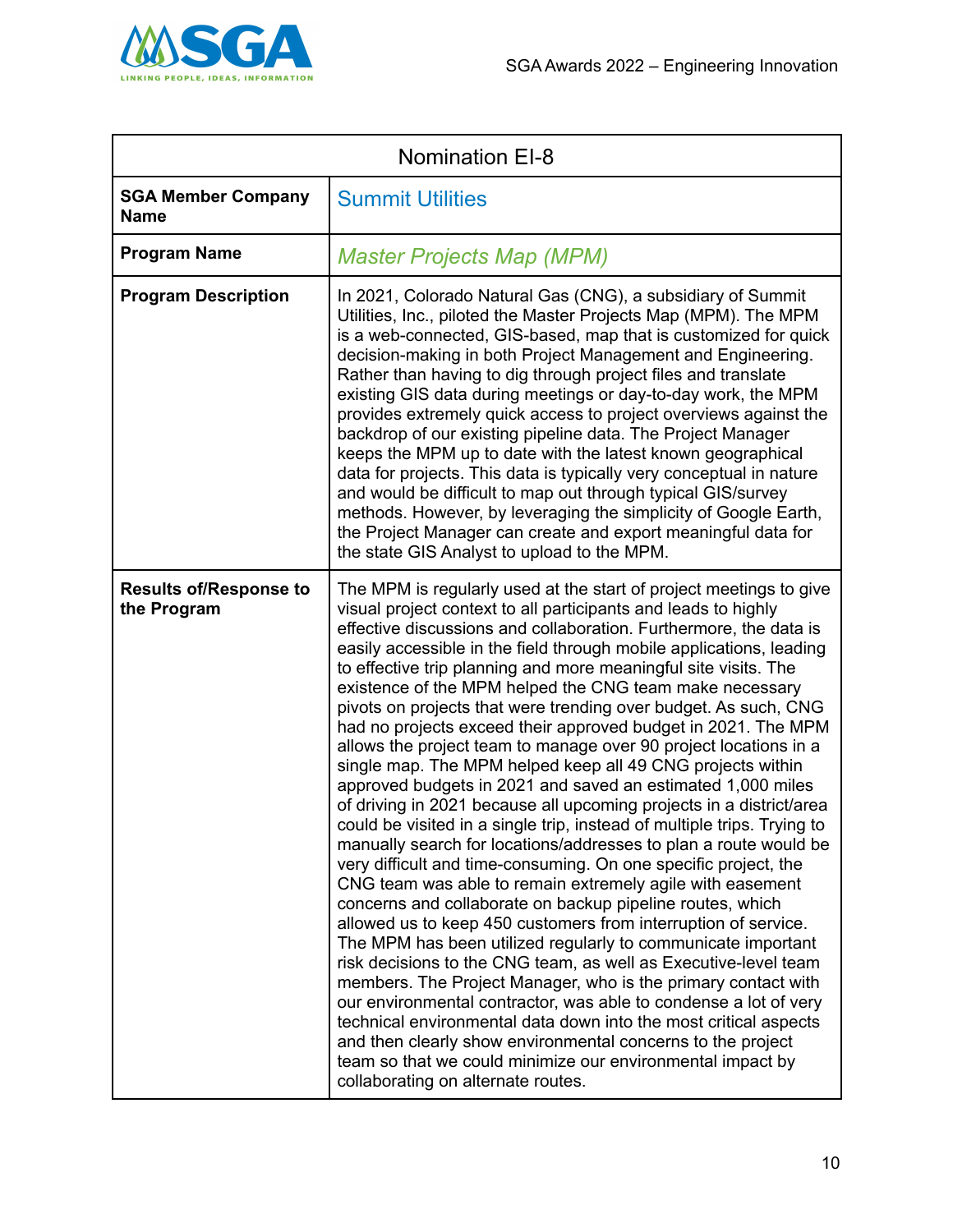

| <b>Nomination EI-8</b>                       |                                                                                                                                                                                                                                                                                                                                                                                                                                                                                                                                                                                                                                                                                                                                                                                                                                                                                                                                                                                                                                                                                                                                                                                                                                                                                                                                                                                                                                                                                                                                                                                                                                                                                                                                                         |
|----------------------------------------------|---------------------------------------------------------------------------------------------------------------------------------------------------------------------------------------------------------------------------------------------------------------------------------------------------------------------------------------------------------------------------------------------------------------------------------------------------------------------------------------------------------------------------------------------------------------------------------------------------------------------------------------------------------------------------------------------------------------------------------------------------------------------------------------------------------------------------------------------------------------------------------------------------------------------------------------------------------------------------------------------------------------------------------------------------------------------------------------------------------------------------------------------------------------------------------------------------------------------------------------------------------------------------------------------------------------------------------------------------------------------------------------------------------------------------------------------------------------------------------------------------------------------------------------------------------------------------------------------------------------------------------------------------------------------------------------------------------------------------------------------------------|
| <b>SGA Member Company</b><br><b>Name</b>     | <b>Summit Utilities</b>                                                                                                                                                                                                                                                                                                                                                                                                                                                                                                                                                                                                                                                                                                                                                                                                                                                                                                                                                                                                                                                                                                                                                                                                                                                                                                                                                                                                                                                                                                                                                                                                                                                                                                                                 |
| <b>Program Name</b>                          | <b>Master Projects Map (MPM)</b>                                                                                                                                                                                                                                                                                                                                                                                                                                                                                                                                                                                                                                                                                                                                                                                                                                                                                                                                                                                                                                                                                                                                                                                                                                                                                                                                                                                                                                                                                                                                                                                                                                                                                                                        |
| <b>Program Description</b>                   | In 2021, Colorado Natural Gas (CNG), a subsidiary of Summit<br>Utilities, Inc., piloted the Master Projects Map (MPM). The MPM<br>is a web-connected, GIS-based, map that is customized for quick<br>decision-making in both Project Management and Engineering.<br>Rather than having to dig through project files and translate<br>existing GIS data during meetings or day-to-day work, the MPM<br>provides extremely quick access to project overviews against the<br>backdrop of our existing pipeline data. The Project Manager<br>keeps the MPM up to date with the latest known geographical<br>data for projects. This data is typically very conceptual in nature<br>and would be difficult to map out through typical GIS/survey<br>methods. However, by leveraging the simplicity of Google Earth,<br>the Project Manager can create and export meaningful data for<br>the state GIS Analyst to upload to the MPM.                                                                                                                                                                                                                                                                                                                                                                                                                                                                                                                                                                                                                                                                                                                                                                                                                          |
| <b>Results of/Response to</b><br>the Program | The MPM is regularly used at the start of project meetings to give<br>visual project context to all participants and leads to highly<br>effective discussions and collaboration. Furthermore, the data is<br>easily accessible in the field through mobile applications, leading<br>to effective trip planning and more meaningful site visits. The<br>existence of the MPM helped the CNG team make necessary<br>pivots on projects that were trending over budget. As such, CNG<br>had no projects exceed their approved budget in 2021. The MPM<br>allows the project team to manage over 90 project locations in a<br>single map. The MPM helped keep all 49 CNG projects within<br>approved budgets in 2021 and saved an estimated 1,000 miles<br>of driving in 2021 because all upcoming projects in a district/area<br>could be visited in a single trip, instead of multiple trips. Trying to<br>manually search for locations/addresses to plan a route would be<br>very difficult and time-consuming. On one specific project, the<br>CNG team was able to remain extremely agile with easement<br>concerns and collaborate on backup pipeline routes, which<br>allowed us to keep 450 customers from interruption of service.<br>The MPM has been utilized regularly to communicate important<br>risk decisions to the CNG team, as well as Executive-level team<br>members. The Project Manager, who is the primary contact with<br>our environmental contractor, was able to condense a lot of very<br>technical environmental data down into the most critical aspects<br>and then clearly show environmental concerns to the project<br>team so that we could minimize our environmental impact by<br>collaborating on alternate routes. |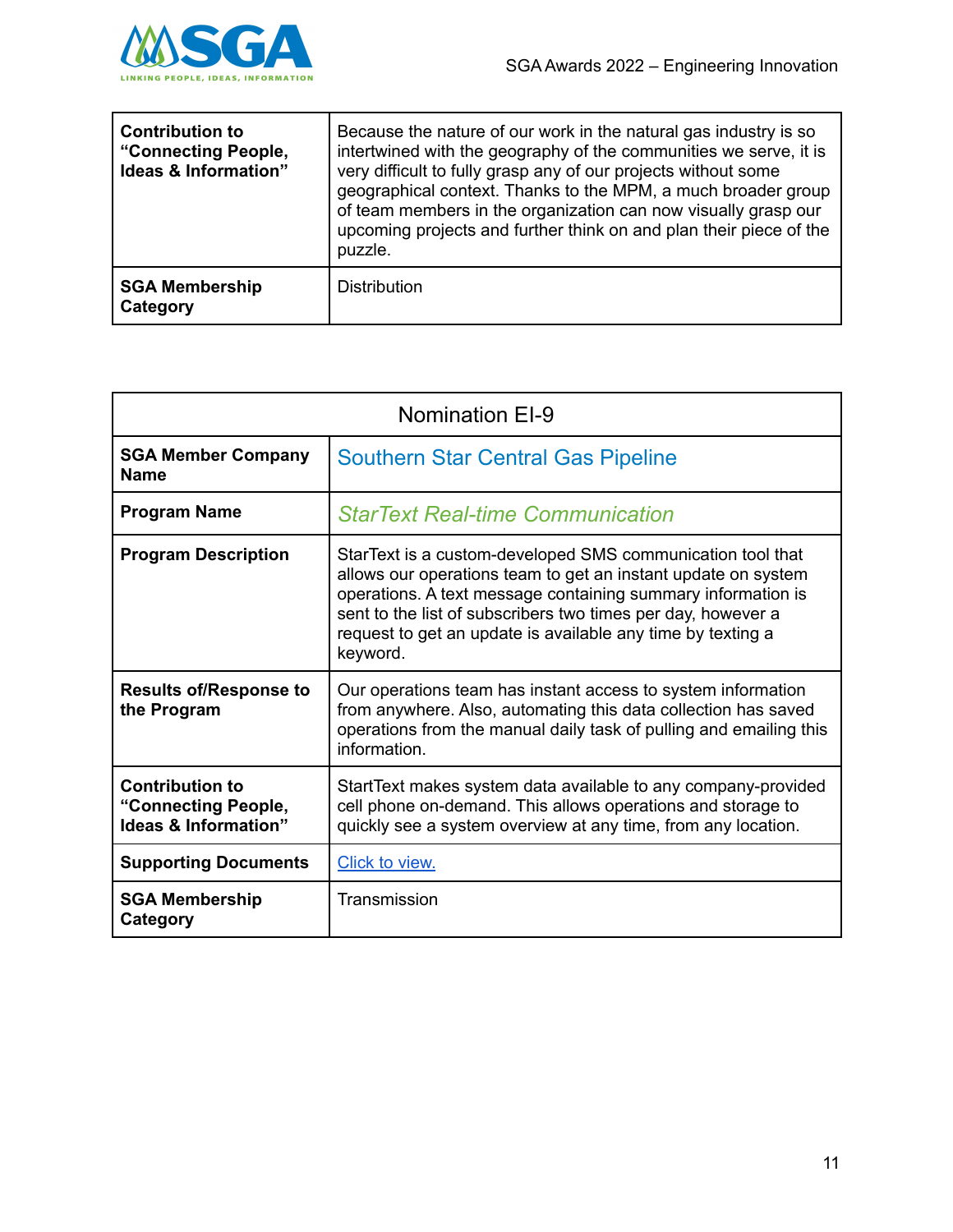

| <b>Contribution to</b><br>"Connecting People,<br>Ideas & Information" | Because the nature of our work in the natural gas industry is so<br>intertwined with the geography of the communities we serve, it is<br>very difficult to fully grasp any of our projects without some<br>geographical context. Thanks to the MPM, a much broader group<br>of team members in the organization can now visually grasp our<br>upcoming projects and further think on and plan their piece of the<br>puzzle. |
|-----------------------------------------------------------------------|-----------------------------------------------------------------------------------------------------------------------------------------------------------------------------------------------------------------------------------------------------------------------------------------------------------------------------------------------------------------------------------------------------------------------------|
| <b>SGA Membership</b><br>Category                                     | <b>Distribution</b>                                                                                                                                                                                                                                                                                                                                                                                                         |

| <b>Nomination EI-9</b>                                                           |                                                                                                                                                                                                                                                                                                                                        |
|----------------------------------------------------------------------------------|----------------------------------------------------------------------------------------------------------------------------------------------------------------------------------------------------------------------------------------------------------------------------------------------------------------------------------------|
| <b>SGA Member Company</b><br><b>Name</b>                                         | <b>Southern Star Central Gas Pipeline</b>                                                                                                                                                                                                                                                                                              |
| <b>Program Name</b>                                                              | <b>StarText Real-time Communication</b>                                                                                                                                                                                                                                                                                                |
| <b>Program Description</b>                                                       | StarText is a custom-developed SMS communication tool that<br>allows our operations team to get an instant update on system<br>operations. A text message containing summary information is<br>sent to the list of subscribers two times per day, however a<br>request to get an update is available any time by texting a<br>keyword. |
| <b>Results of/Response to</b><br>the Program                                     | Our operations team has instant access to system information<br>from anywhere. Also, automating this data collection has saved<br>operations from the manual daily task of pulling and emailing this<br>information.                                                                                                                   |
| <b>Contribution to</b><br>"Connecting People,<br><b>Ideas &amp; Information"</b> | StartText makes system data available to any company-provided<br>cell phone on-demand. This allows operations and storage to<br>quickly see a system overview at any time, from any location.                                                                                                                                          |
| <b>Supporting Documents</b>                                                      | Click to view.                                                                                                                                                                                                                                                                                                                         |
| <b>SGA Membership</b><br>Category                                                | Transmission                                                                                                                                                                                                                                                                                                                           |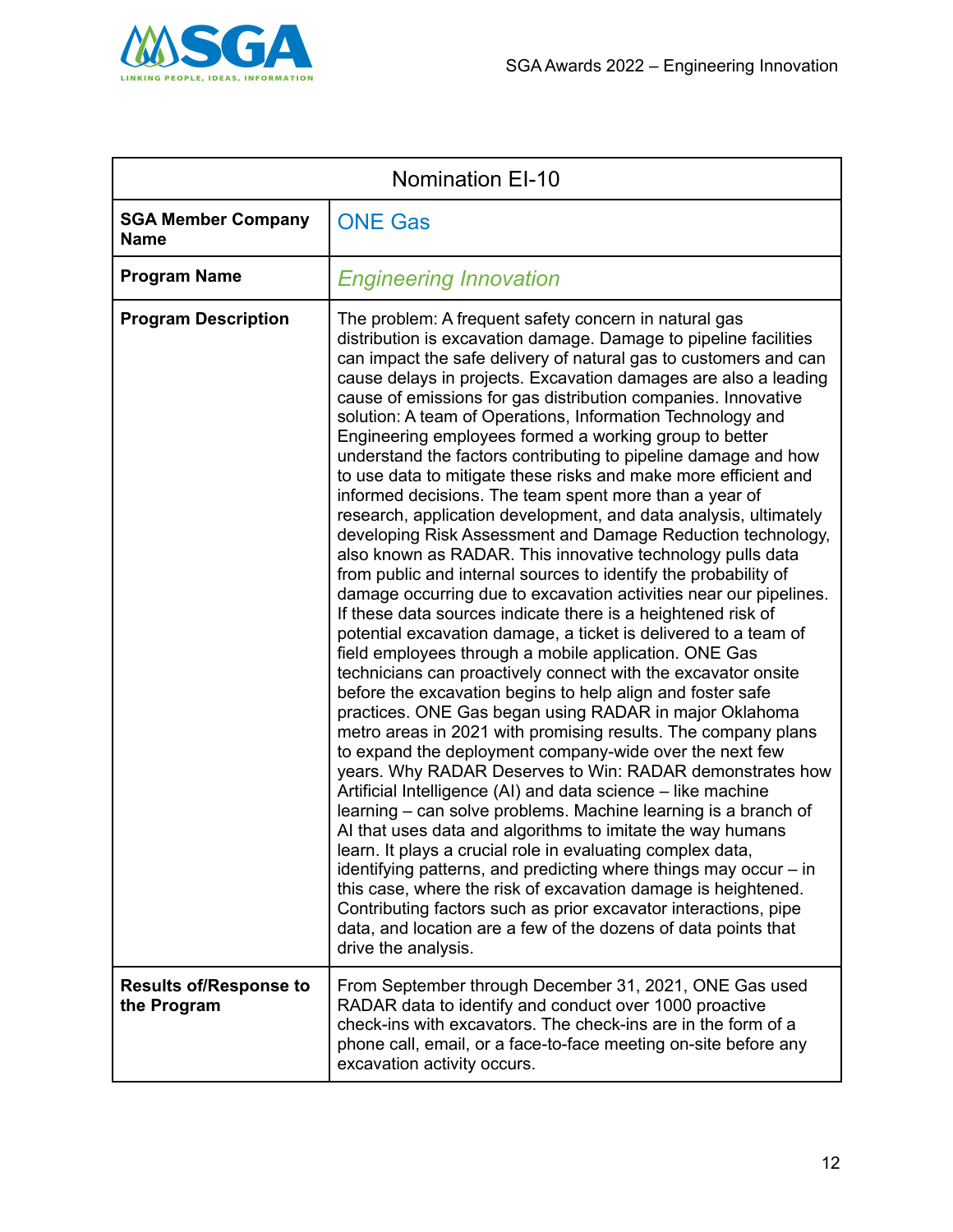

| <b>Nomination EI-10</b>                      |                                                                                                                                                                                                                                                                                                                                                                                                                                                                                                                                                                                                                                                                                                                                                                                                                                                                                                                                                                                                                                                                                                                                                                                                                                                                                                                                                                                                                                                                                                                                                                                                                                                                                                                                                                                                                                                                                                                                                                                                                                                                                                                                               |
|----------------------------------------------|-----------------------------------------------------------------------------------------------------------------------------------------------------------------------------------------------------------------------------------------------------------------------------------------------------------------------------------------------------------------------------------------------------------------------------------------------------------------------------------------------------------------------------------------------------------------------------------------------------------------------------------------------------------------------------------------------------------------------------------------------------------------------------------------------------------------------------------------------------------------------------------------------------------------------------------------------------------------------------------------------------------------------------------------------------------------------------------------------------------------------------------------------------------------------------------------------------------------------------------------------------------------------------------------------------------------------------------------------------------------------------------------------------------------------------------------------------------------------------------------------------------------------------------------------------------------------------------------------------------------------------------------------------------------------------------------------------------------------------------------------------------------------------------------------------------------------------------------------------------------------------------------------------------------------------------------------------------------------------------------------------------------------------------------------------------------------------------------------------------------------------------------------|
| <b>SGA Member Company</b><br><b>Name</b>     | <b>ONE Gas</b>                                                                                                                                                                                                                                                                                                                                                                                                                                                                                                                                                                                                                                                                                                                                                                                                                                                                                                                                                                                                                                                                                                                                                                                                                                                                                                                                                                                                                                                                                                                                                                                                                                                                                                                                                                                                                                                                                                                                                                                                                                                                                                                                |
| <b>Program Name</b>                          | <b>Engineering Innovation</b>                                                                                                                                                                                                                                                                                                                                                                                                                                                                                                                                                                                                                                                                                                                                                                                                                                                                                                                                                                                                                                                                                                                                                                                                                                                                                                                                                                                                                                                                                                                                                                                                                                                                                                                                                                                                                                                                                                                                                                                                                                                                                                                 |
| <b>Program Description</b>                   | The problem: A frequent safety concern in natural gas<br>distribution is excavation damage. Damage to pipeline facilities<br>can impact the safe delivery of natural gas to customers and can<br>cause delays in projects. Excavation damages are also a leading<br>cause of emissions for gas distribution companies. Innovative<br>solution: A team of Operations, Information Technology and<br>Engineering employees formed a working group to better<br>understand the factors contributing to pipeline damage and how<br>to use data to mitigate these risks and make more efficient and<br>informed decisions. The team spent more than a year of<br>research, application development, and data analysis, ultimately<br>developing Risk Assessment and Damage Reduction technology,<br>also known as RADAR. This innovative technology pulls data<br>from public and internal sources to identify the probability of<br>damage occurring due to excavation activities near our pipelines.<br>If these data sources indicate there is a heightened risk of<br>potential excavation damage, a ticket is delivered to a team of<br>field employees through a mobile application. ONE Gas<br>technicians can proactively connect with the excavator onsite<br>before the excavation begins to help align and foster safe<br>practices. ONE Gas began using RADAR in major Oklahoma<br>metro areas in 2021 with promising results. The company plans<br>to expand the deployment company-wide over the next few<br>years. Why RADAR Deserves to Win: RADAR demonstrates how<br>Artificial Intelligence (AI) and data science – like machine<br>learning – can solve problems. Machine learning is a branch of<br>AI that uses data and algorithms to imitate the way humans<br>learn. It plays a crucial role in evaluating complex data,<br>identifying patterns, and predicting where things may occur – in<br>this case, where the risk of excavation damage is heightened.<br>Contributing factors such as prior excavator interactions, pipe<br>data, and location are a few of the dozens of data points that<br>drive the analysis. |
| <b>Results of/Response to</b><br>the Program | From September through December 31, 2021, ONE Gas used<br>RADAR data to identify and conduct over 1000 proactive<br>check-ins with excavators. The check-ins are in the form of a<br>phone call, email, or a face-to-face meeting on-site before any<br>excavation activity occurs.                                                                                                                                                                                                                                                                                                                                                                                                                                                                                                                                                                                                                                                                                                                                                                                                                                                                                                                                                                                                                                                                                                                                                                                                                                                                                                                                                                                                                                                                                                                                                                                                                                                                                                                                                                                                                                                           |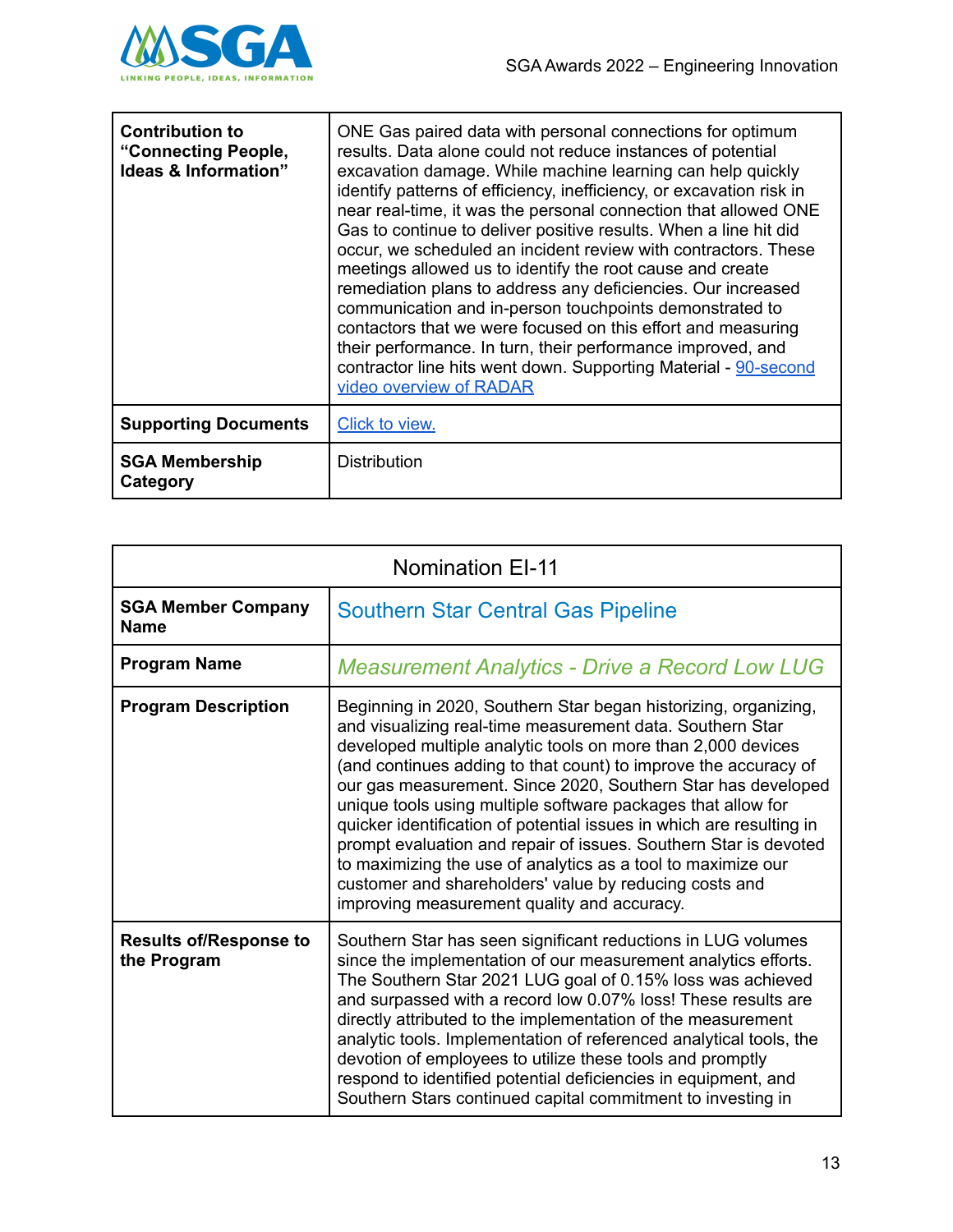

| <b>Contribution to</b><br>"Connecting People,<br>Ideas & Information" | ONE Gas paired data with personal connections for optimum<br>results. Data alone could not reduce instances of potential<br>excavation damage. While machine learning can help quickly<br>identify patterns of efficiency, inefficiency, or excavation risk in<br>near real-time, it was the personal connection that allowed ONE<br>Gas to continue to deliver positive results. When a line hit did<br>occur, we scheduled an incident review with contractors. These<br>meetings allowed us to identify the root cause and create<br>remediation plans to address any deficiencies. Our increased<br>communication and in-person touchpoints demonstrated to<br>contactors that we were focused on this effort and measuring<br>their performance. In turn, their performance improved, and<br>contractor line hits went down. Supporting Material - 90-second<br>video overview of RADAR |
|-----------------------------------------------------------------------|----------------------------------------------------------------------------------------------------------------------------------------------------------------------------------------------------------------------------------------------------------------------------------------------------------------------------------------------------------------------------------------------------------------------------------------------------------------------------------------------------------------------------------------------------------------------------------------------------------------------------------------------------------------------------------------------------------------------------------------------------------------------------------------------------------------------------------------------------------------------------------------------|
| <b>Supporting Documents</b>                                           | <b>Click to view.</b>                                                                                                                                                                                                                                                                                                                                                                                                                                                                                                                                                                                                                                                                                                                                                                                                                                                                        |
| <b>SGA Membership</b><br>Category                                     | Distribution                                                                                                                                                                                                                                                                                                                                                                                                                                                                                                                                                                                                                                                                                                                                                                                                                                                                                 |

| <b>Nomination EI-11</b>                      |                                                                                                                                                                                                                                                                                                                                                                                                                                                                                                                                                                                                                                                                                                                      |
|----------------------------------------------|----------------------------------------------------------------------------------------------------------------------------------------------------------------------------------------------------------------------------------------------------------------------------------------------------------------------------------------------------------------------------------------------------------------------------------------------------------------------------------------------------------------------------------------------------------------------------------------------------------------------------------------------------------------------------------------------------------------------|
| <b>SGA Member Company</b><br><b>Name</b>     | <b>Southern Star Central Gas Pipeline</b>                                                                                                                                                                                                                                                                                                                                                                                                                                                                                                                                                                                                                                                                            |
| <b>Program Name</b>                          | <b>Measurement Analytics - Drive a Record Low LUG</b>                                                                                                                                                                                                                                                                                                                                                                                                                                                                                                                                                                                                                                                                |
| <b>Program Description</b>                   | Beginning in 2020, Southern Star began historizing, organizing,<br>and visualizing real-time measurement data. Southern Star<br>developed multiple analytic tools on more than 2,000 devices<br>(and continues adding to that count) to improve the accuracy of<br>our gas measurement. Since 2020, Southern Star has developed<br>unique tools using multiple software packages that allow for<br>quicker identification of potential issues in which are resulting in<br>prompt evaluation and repair of issues. Southern Star is devoted<br>to maximizing the use of analytics as a tool to maximize our<br>customer and shareholders' value by reducing costs and<br>improving measurement quality and accuracy. |
| <b>Results of/Response to</b><br>the Program | Southern Star has seen significant reductions in LUG volumes<br>since the implementation of our measurement analytics efforts.<br>The Southern Star 2021 LUG goal of 0.15% loss was achieved<br>and surpassed with a record low 0.07% loss! These results are<br>directly attributed to the implementation of the measurement<br>analytic tools. Implementation of referenced analytical tools, the<br>devotion of employees to utilize these tools and promptly<br>respond to identified potential deficiencies in equipment, and<br>Southern Stars continued capital commitment to investing in                                                                                                                    |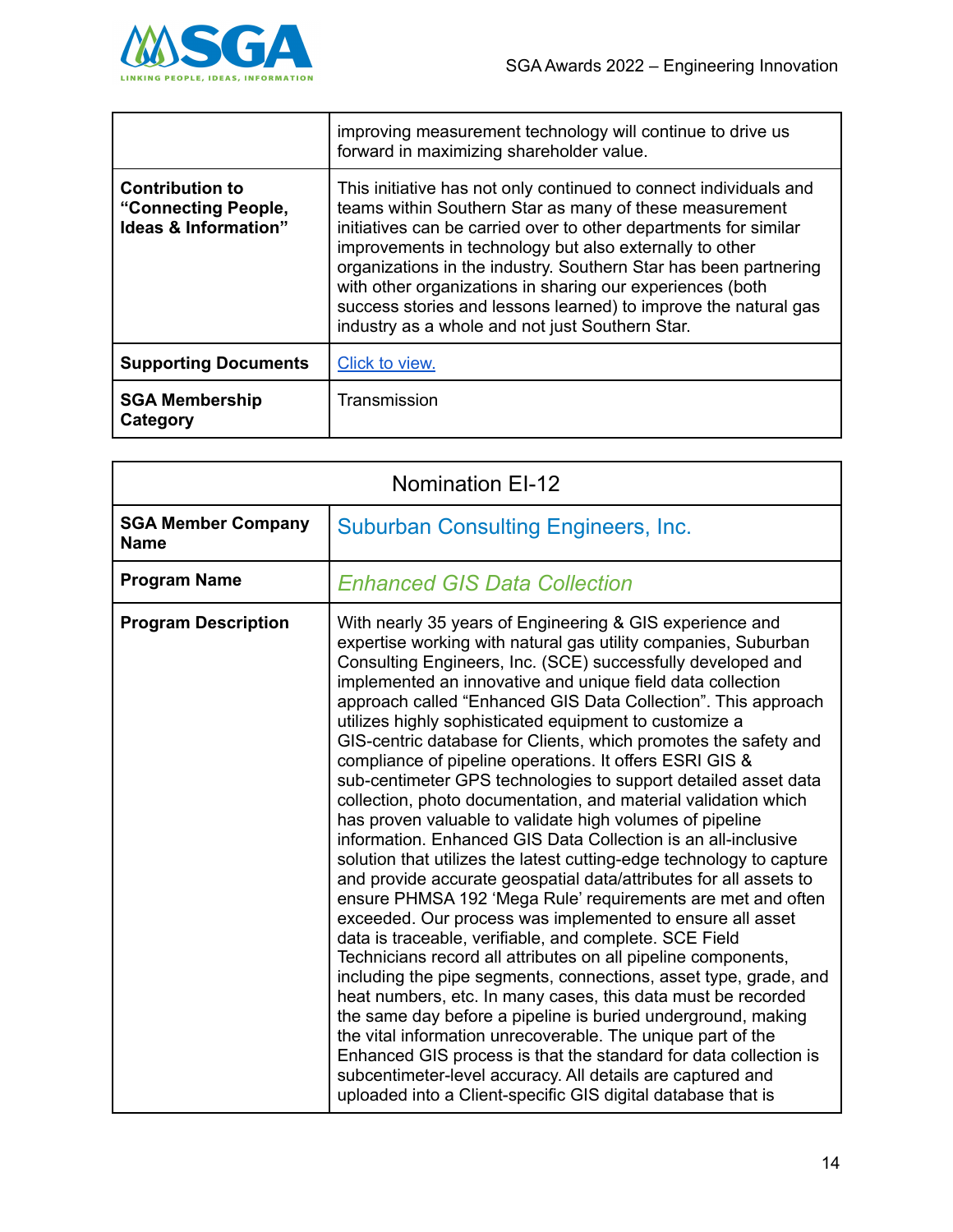

|                                                                                  | improving measurement technology will continue to drive us<br>forward in maximizing shareholder value.                                                                                                                                                                                                                                                                                                                                                                                                             |
|----------------------------------------------------------------------------------|--------------------------------------------------------------------------------------------------------------------------------------------------------------------------------------------------------------------------------------------------------------------------------------------------------------------------------------------------------------------------------------------------------------------------------------------------------------------------------------------------------------------|
| <b>Contribution to</b><br>"Connecting People,<br><b>Ideas &amp; Information"</b> | This initiative has not only continued to connect individuals and<br>teams within Southern Star as many of these measurement<br>initiatives can be carried over to other departments for similar<br>improvements in technology but also externally to other<br>organizations in the industry. Southern Star has been partnering<br>with other organizations in sharing our experiences (both<br>success stories and lessons learned) to improve the natural gas<br>industry as a whole and not just Southern Star. |
| <b>Supporting Documents</b>                                                      | Click to view.                                                                                                                                                                                                                                                                                                                                                                                                                                                                                                     |
| <b>SGA Membership</b><br>Category                                                | Transmission                                                                                                                                                                                                                                                                                                                                                                                                                                                                                                       |

| <b>Nomination EI-12</b>                  |                                                                                                                                                                                                                                                                                                                                                                                                                                                                                                                                                                                                                                                                                                                                                                                                                                                                                                                                                                                                                                                                                                                                                                                                                                                                                                                                                                                                                                                                                                                                                                                                                                                            |
|------------------------------------------|------------------------------------------------------------------------------------------------------------------------------------------------------------------------------------------------------------------------------------------------------------------------------------------------------------------------------------------------------------------------------------------------------------------------------------------------------------------------------------------------------------------------------------------------------------------------------------------------------------------------------------------------------------------------------------------------------------------------------------------------------------------------------------------------------------------------------------------------------------------------------------------------------------------------------------------------------------------------------------------------------------------------------------------------------------------------------------------------------------------------------------------------------------------------------------------------------------------------------------------------------------------------------------------------------------------------------------------------------------------------------------------------------------------------------------------------------------------------------------------------------------------------------------------------------------------------------------------------------------------------------------------------------------|
| <b>SGA Member Company</b><br><b>Name</b> | <b>Suburban Consulting Engineers, Inc.</b>                                                                                                                                                                                                                                                                                                                                                                                                                                                                                                                                                                                                                                                                                                                                                                                                                                                                                                                                                                                                                                                                                                                                                                                                                                                                                                                                                                                                                                                                                                                                                                                                                 |
| <b>Program Name</b>                      | <b>Enhanced GIS Data Collection</b>                                                                                                                                                                                                                                                                                                                                                                                                                                                                                                                                                                                                                                                                                                                                                                                                                                                                                                                                                                                                                                                                                                                                                                                                                                                                                                                                                                                                                                                                                                                                                                                                                        |
| <b>Program Description</b>               | With nearly 35 years of Engineering & GIS experience and<br>expertise working with natural gas utility companies, Suburban<br>Consulting Engineers, Inc. (SCE) successfully developed and<br>implemented an innovative and unique field data collection<br>approach called "Enhanced GIS Data Collection". This approach<br>utilizes highly sophisticated equipment to customize a<br>GIS-centric database for Clients, which promotes the safety and<br>compliance of pipeline operations. It offers ESRI GIS &<br>sub-centimeter GPS technologies to support detailed asset data<br>collection, photo documentation, and material validation which<br>has proven valuable to validate high volumes of pipeline<br>information. Enhanced GIS Data Collection is an all-inclusive<br>solution that utilizes the latest cutting-edge technology to capture<br>and provide accurate geospatial data/attributes for all assets to<br>ensure PHMSA 192 'Mega Rule' requirements are met and often<br>exceeded. Our process was implemented to ensure all asset<br>data is traceable, verifiable, and complete. SCE Field<br>Technicians record all attributes on all pipeline components,<br>including the pipe segments, connections, asset type, grade, and<br>heat numbers, etc. In many cases, this data must be recorded<br>the same day before a pipeline is buried underground, making<br>the vital information unrecoverable. The unique part of the<br>Enhanced GIS process is that the standard for data collection is<br>subcentimeter-level accuracy. All details are captured and<br>uploaded into a Client-specific GIS digital database that is |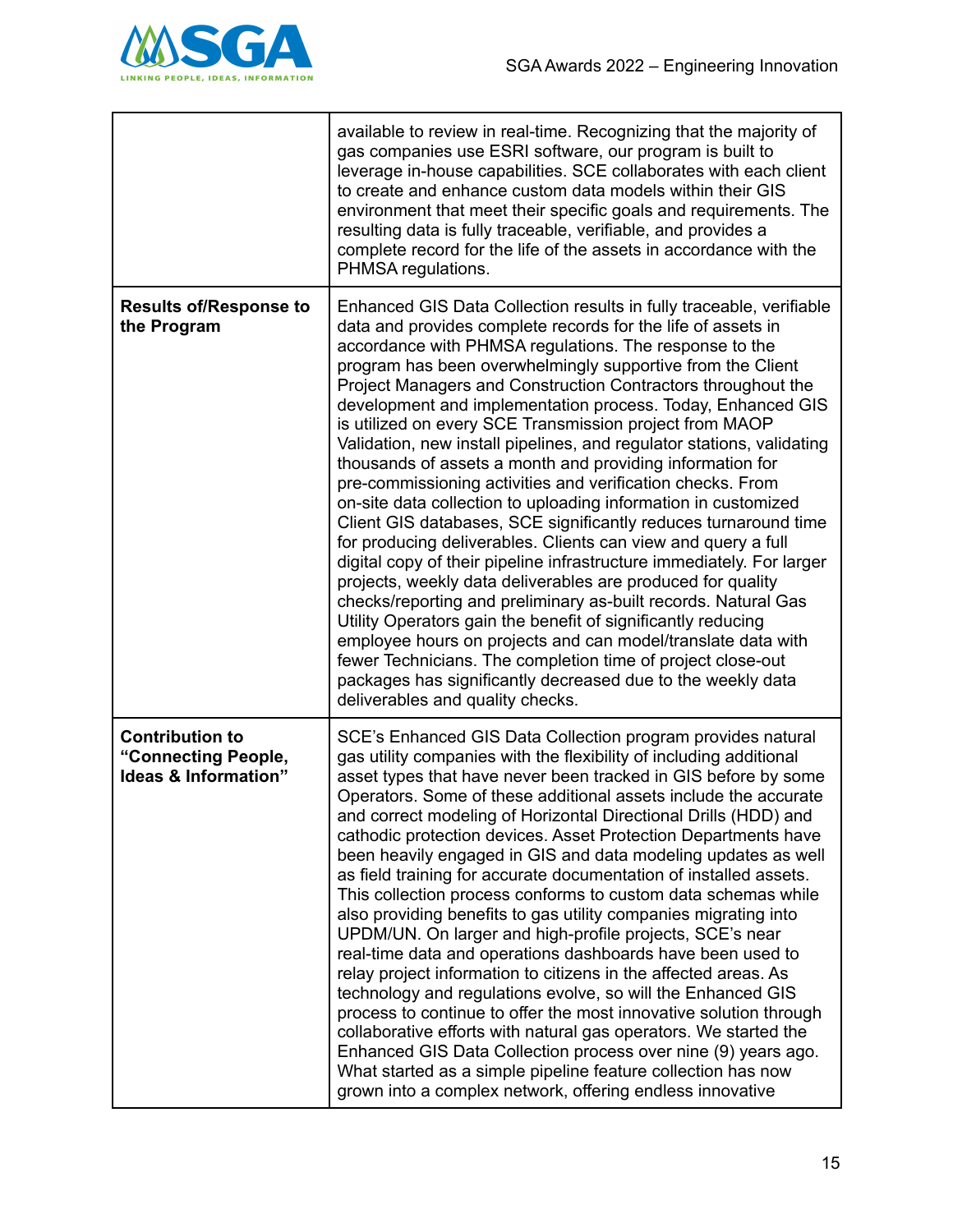

|                                                                                  | available to review in real-time. Recognizing that the majority of<br>gas companies use ESRI software, our program is built to<br>leverage in-house capabilities. SCE collaborates with each client<br>to create and enhance custom data models within their GIS<br>environment that meet their specific goals and requirements. The<br>resulting data is fully traceable, verifiable, and provides a<br>complete record for the life of the assets in accordance with the<br>PHMSA regulations.                                                                                                                                                                                                                                                                                                                                                                                                                                                                                                                                                                                                                                                                                                                                                                                                                                                                            |
|----------------------------------------------------------------------------------|-----------------------------------------------------------------------------------------------------------------------------------------------------------------------------------------------------------------------------------------------------------------------------------------------------------------------------------------------------------------------------------------------------------------------------------------------------------------------------------------------------------------------------------------------------------------------------------------------------------------------------------------------------------------------------------------------------------------------------------------------------------------------------------------------------------------------------------------------------------------------------------------------------------------------------------------------------------------------------------------------------------------------------------------------------------------------------------------------------------------------------------------------------------------------------------------------------------------------------------------------------------------------------------------------------------------------------------------------------------------------------|
| <b>Results of/Response to</b><br>the Program                                     | Enhanced GIS Data Collection results in fully traceable, verifiable<br>data and provides complete records for the life of assets in<br>accordance with PHMSA regulations. The response to the<br>program has been overwhelmingly supportive from the Client<br>Project Managers and Construction Contractors throughout the<br>development and implementation process. Today, Enhanced GIS<br>is utilized on every SCE Transmission project from MAOP<br>Validation, new install pipelines, and regulator stations, validating<br>thousands of assets a month and providing information for<br>pre-commissioning activities and verification checks. From<br>on-site data collection to uploading information in customized<br>Client GIS databases, SCE significantly reduces turnaround time<br>for producing deliverables. Clients can view and query a full<br>digital copy of their pipeline infrastructure immediately. For larger<br>projects, weekly data deliverables are produced for quality<br>checks/reporting and preliminary as-built records. Natural Gas<br>Utility Operators gain the benefit of significantly reducing<br>employee hours on projects and can model/translate data with<br>fewer Technicians. The completion time of project close-out<br>packages has significantly decreased due to the weekly data<br>deliverables and quality checks. |
| <b>Contribution to</b><br>"Connecting People,<br><b>Ideas &amp; Information"</b> | SCE's Enhanced GIS Data Collection program provides natural<br>gas utility companies with the flexibility of including additional<br>asset types that have never been tracked in GIS before by some<br>Operators. Some of these additional assets include the accurate<br>and correct modeling of Horizontal Directional Drills (HDD) and<br>cathodic protection devices. Asset Protection Departments have<br>been heavily engaged in GIS and data modeling updates as well<br>as field training for accurate documentation of installed assets.<br>This collection process conforms to custom data schemas while<br>also providing benefits to gas utility companies migrating into<br>UPDM/UN. On larger and high-profile projects, SCE's near<br>real-time data and operations dashboards have been used to<br>relay project information to citizens in the affected areas. As<br>technology and regulations evolve, so will the Enhanced GIS<br>process to continue to offer the most innovative solution through<br>collaborative efforts with natural gas operators. We started the<br>Enhanced GIS Data Collection process over nine (9) years ago.<br>What started as a simple pipeline feature collection has now<br>grown into a complex network, offering endless innovative                                                                                    |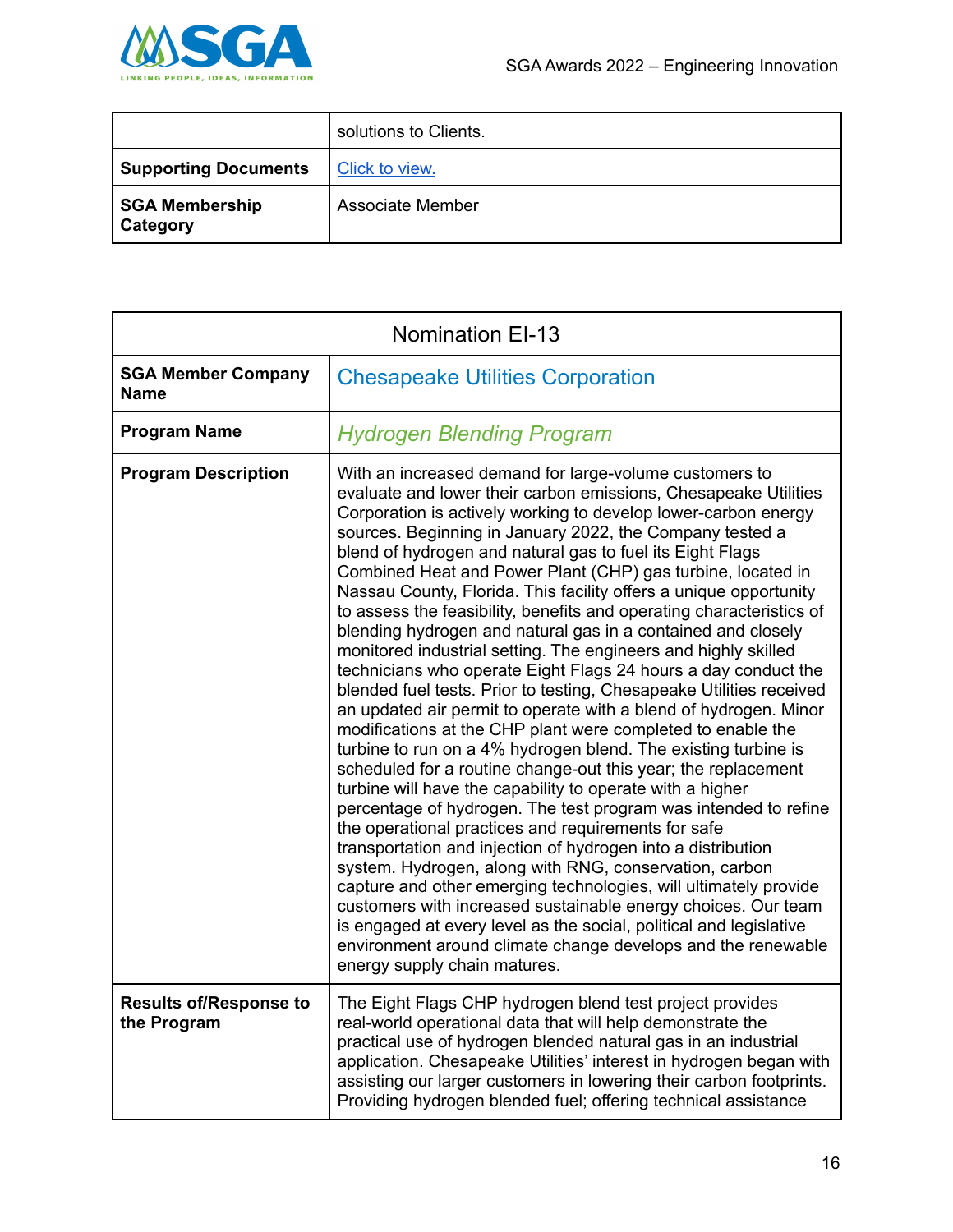

|                                          | solutions to Clients. |
|------------------------------------------|-----------------------|
| <b>Supporting Documents</b>              | Click to view.        |
| <b>SGA Membership</b><br><b>Category</b> | Associate Member      |

| <b>Nomination EI-13</b>                      |                                                                                                                                                                                                                                                                                                                                                                                                                                                                                                                                                                                                                                                                                                                                                                                                                                                                                                                                                                                                                                                                                                                                                                                                                                                                                                                                                                                                                                                                                                                                                                                                                                                                                                               |  |
|----------------------------------------------|---------------------------------------------------------------------------------------------------------------------------------------------------------------------------------------------------------------------------------------------------------------------------------------------------------------------------------------------------------------------------------------------------------------------------------------------------------------------------------------------------------------------------------------------------------------------------------------------------------------------------------------------------------------------------------------------------------------------------------------------------------------------------------------------------------------------------------------------------------------------------------------------------------------------------------------------------------------------------------------------------------------------------------------------------------------------------------------------------------------------------------------------------------------------------------------------------------------------------------------------------------------------------------------------------------------------------------------------------------------------------------------------------------------------------------------------------------------------------------------------------------------------------------------------------------------------------------------------------------------------------------------------------------------------------------------------------------------|--|
| <b>SGA Member Company</b><br><b>Name</b>     | <b>Chesapeake Utilities Corporation</b>                                                                                                                                                                                                                                                                                                                                                                                                                                                                                                                                                                                                                                                                                                                                                                                                                                                                                                                                                                                                                                                                                                                                                                                                                                                                                                                                                                                                                                                                                                                                                                                                                                                                       |  |
| <b>Program Name</b>                          | <b>Hydrogen Blending Program</b>                                                                                                                                                                                                                                                                                                                                                                                                                                                                                                                                                                                                                                                                                                                                                                                                                                                                                                                                                                                                                                                                                                                                                                                                                                                                                                                                                                                                                                                                                                                                                                                                                                                                              |  |
| <b>Program Description</b>                   | With an increased demand for large-volume customers to<br>evaluate and lower their carbon emissions, Chesapeake Utilities<br>Corporation is actively working to develop lower-carbon energy<br>sources. Beginning in January 2022, the Company tested a<br>blend of hydrogen and natural gas to fuel its Eight Flags<br>Combined Heat and Power Plant (CHP) gas turbine, located in<br>Nassau County, Florida. This facility offers a unique opportunity<br>to assess the feasibility, benefits and operating characteristics of<br>blending hydrogen and natural gas in a contained and closely<br>monitored industrial setting. The engineers and highly skilled<br>technicians who operate Eight Flags 24 hours a day conduct the<br>blended fuel tests. Prior to testing, Chesapeake Utilities received<br>an updated air permit to operate with a blend of hydrogen. Minor<br>modifications at the CHP plant were completed to enable the<br>turbine to run on a 4% hydrogen blend. The existing turbine is<br>scheduled for a routine change-out this year; the replacement<br>turbine will have the capability to operate with a higher<br>percentage of hydrogen. The test program was intended to refine<br>the operational practices and requirements for safe<br>transportation and injection of hydrogen into a distribution<br>system. Hydrogen, along with RNG, conservation, carbon<br>capture and other emerging technologies, will ultimately provide<br>customers with increased sustainable energy choices. Our team<br>is engaged at every level as the social, political and legislative<br>environment around climate change develops and the renewable<br>energy supply chain matures. |  |
| <b>Results of/Response to</b><br>the Program | The Eight Flags CHP hydrogen blend test project provides<br>real-world operational data that will help demonstrate the<br>practical use of hydrogen blended natural gas in an industrial<br>application. Chesapeake Utilities' interest in hydrogen began with<br>assisting our larger customers in lowering their carbon footprints.<br>Providing hydrogen blended fuel; offering technical assistance                                                                                                                                                                                                                                                                                                                                                                                                                                                                                                                                                                                                                                                                                                                                                                                                                                                                                                                                                                                                                                                                                                                                                                                                                                                                                                       |  |